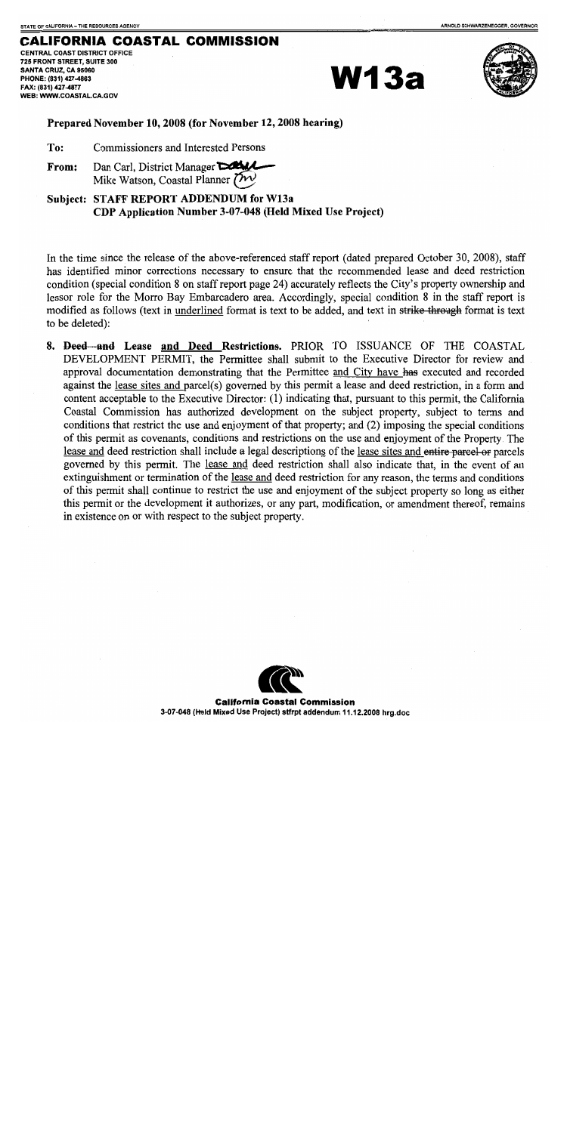### **CALIFORNIA COASTAL COMMISSION**

**CENTRAL COAST DISTRICT OFFICE** 725 FRONT STREET, SUITE 300 SANTA CRUZ, CA 95060 PHONE: (831) 427-4863 FAX: (831) 427-4877 WEB: WWW.COASTAL.CA.GOV

**W13a** 



Prepared November 10, 2008 (for November 12, 2008 hearing)

To: Commissioners and Interested Persons

Dan Carl, District Manager From: Mike Watson, Coastal Planner  $\overline{\mathcal{V}}$ 

Subject: STAFF REPORT ADDENDUM for W13a CDP Application Number 3-07-048 (Held Mixed Use Project)

In the time since the release of the above-referenced staff report (dated prepared October 30, 2008), staff has identified minor corrections necessary to ensure that the recommended lease and deed restriction condition (special condition 8 on staff report page 24) accurately reflects the City's property ownership and lessor role for the Morro Bay Embarcadero area. Accordingly, special condition 8 in the staff report is modified as follows (text in underlined format is text to be added, and text in strike through format is text to be deleted):

8. Deed and Lease and Deed Restrictions. PRIOR TO ISSUANCE OF THE COASTAL DEVELOPMENT PERMIT, the Permittee shall submit to the Executive Director for review and approval documentation demonstrating that the Permittee and City have has executed and recorded against the lease sites and parcel(s) governed by this permit a lease and deed restriction, in a form and content acceptable to the Executive Director: (1) indicating that, pursuant to this permit, the California Coastal Commission has authorized development on the subject property, subject to terms and conditions that restrict the use and enjoyment of that property; and (2) imposing the special conditions of this permit as covenants, conditions and restrictions on the use and enjoyment of the Property. The lease and deed restriction shall include a legal descriptions of the lease sites and entire parcel-or parcels governed by this permit. The lease and deed restriction shall also indicate that, in the event of an extinguishment or termination of the lease and deed restriction for any reason, the terms and conditions of this permit shall continue to restrict the use and enjoyment of the subject property so long as either this permit or the development it authorizes, or any part, modification, or amendment thereof, remains in existence on or with respect to the subject property.



**California Coastal Commission** 3-07-048 (Held Mixed Use Project) stfrpt addendum 11.12.2008 hrg.doc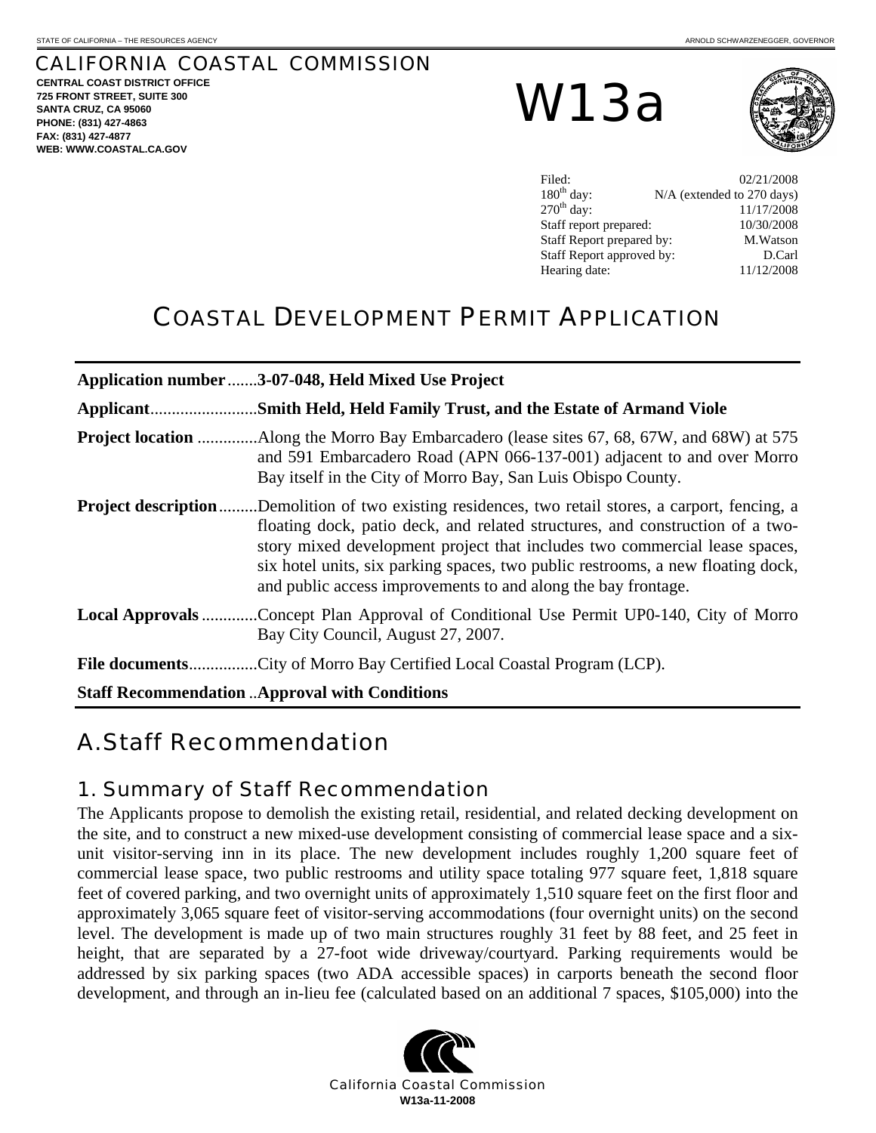# CALIFORNIA COASTAL COMMISSION

**CENTRAL COAST DISTRICT OFFICE 725 FRONT STREET, SUITE 300 SANTA CRUZ, CA 95060 PHONE: (831) 427-4863 FAX: (831) 427-4877 WEB: WWW.COASTAL.CA.GOV**

W13a



| Filed:                    | 02/21/2008                 |
|---------------------------|----------------------------|
| $180th$ day:              | N/A (extended to 270 days) |
| $270^{\text{th}}$ day:    | 11/17/2008                 |
| Staff report prepared:    | 10/30/2008                 |
| Staff Report prepared by: | M.Watson                   |
| Staff Report approved by: | D.Carl                     |
| Hearing date:             | 11/12/2008                 |

# COASTAL DEVELOPMENT PERMIT APPLICATION

|                                                                                                                                     | Application number 3-07-048, Held Mixed Use Project                                                                                                                                                                                                                                                                                                                                                |
|-------------------------------------------------------------------------------------------------------------------------------------|----------------------------------------------------------------------------------------------------------------------------------------------------------------------------------------------------------------------------------------------------------------------------------------------------------------------------------------------------------------------------------------------------|
|                                                                                                                                     |                                                                                                                                                                                                                                                                                                                                                                                                    |
|                                                                                                                                     | and 591 Embarcadero Road (APN 066-137-001) adjacent to and over Morro<br>Bay itself in the City of Morro Bay, San Luis Obispo County.                                                                                                                                                                                                                                                              |
| <b>Project description</b>                                                                                                          | Demolition of two existing residences, two retail stores, a carport, fencing, a<br>floating dock, patio deck, and related structures, and construction of a two-<br>story mixed development project that includes two commercial lease spaces,<br>six hotel units, six parking spaces, two public restrooms, a new floating dock,<br>and public access improvements to and along the bay frontage. |
| <b>Local Approvals</b> Concept Plan Approval of Conditional Use Permit UP0-140, City of Morro<br>Bay City Council, August 27, 2007. |                                                                                                                                                                                                                                                                                                                                                                                                    |
|                                                                                                                                     |                                                                                                                                                                                                                                                                                                                                                                                                    |
|                                                                                                                                     | <b>Staff Recommendation  Approval with Conditions</b>                                                                                                                                                                                                                                                                                                                                              |

# A. Staff Recommendation

# 1. Summary of Staff Recommendation

The Applicants propose to demolish the existing retail, residential, and related decking development on the site, and to construct a new mixed-use development consisting of commercial lease space and a sixunit visitor-serving inn in its place. The new development includes roughly 1,200 square feet of commercial lease space, two public restrooms and utility space totaling 977 square feet, 1,818 square feet of covered parking, and two overnight units of approximately 1,510 square feet on the first floor and approximately 3,065 square feet of visitor-serving accommodations (four overnight units) on the second level. The development is made up of two main structures roughly 31 feet by 88 feet, and 25 feet in height, that are separated by a 27-foot wide driveway/courtyard. Parking requirements would be addressed by six parking spaces (two ADA accessible spaces) in carports beneath the second floor development, and through an in-lieu fee (calculated based on an additional 7 spaces, \$105,000) into the

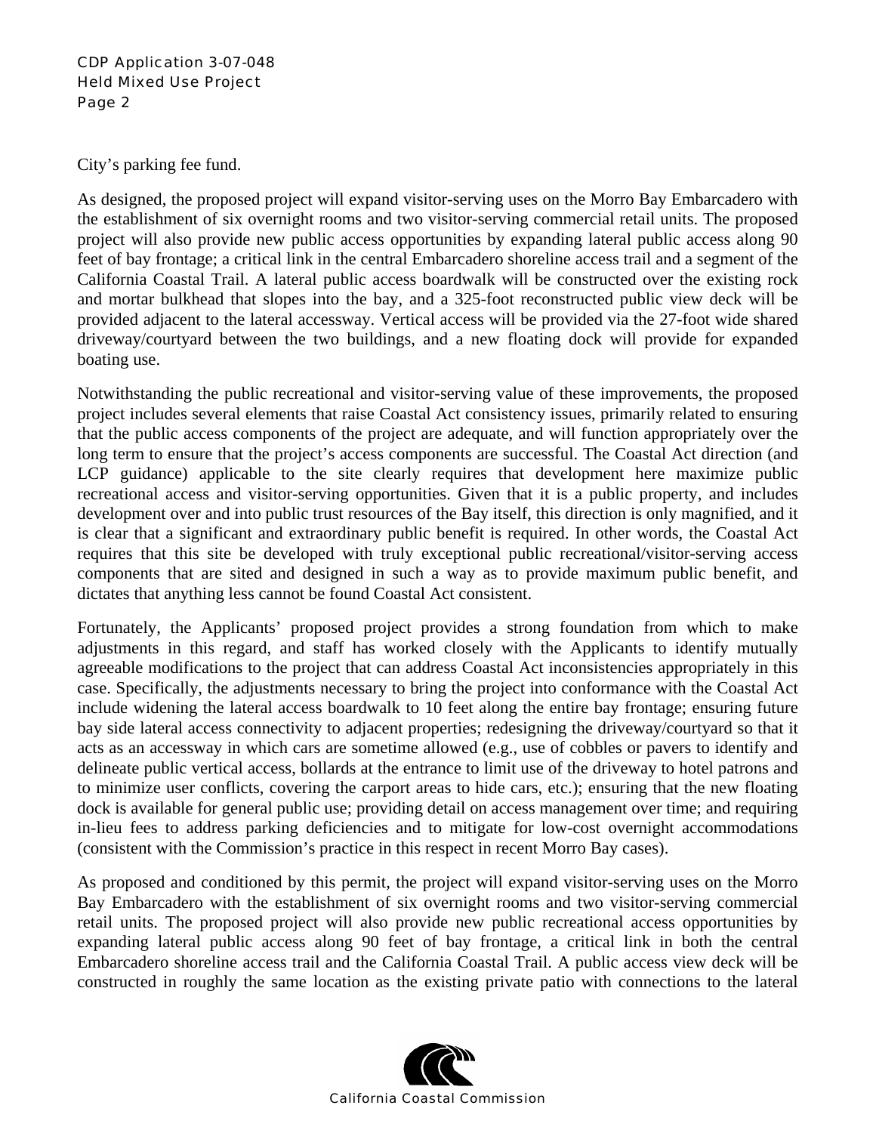#### CDP Application 3-07-048 Held Mixed Use Project Page 2

City's parking fee fund.

As designed, the proposed project will expand visitor-serving uses on the Morro Bay Embarcadero with the establishment of six overnight rooms and two visitor-serving commercial retail units. The proposed project will also provide new public access opportunities by expanding lateral public access along 90 feet of bay frontage; a critical link in the central Embarcadero shoreline access trail and a segment of the California Coastal Trail. A lateral public access boardwalk will be constructed over the existing rock and mortar bulkhead that slopes into the bay, and a 325-foot reconstructed public view deck will be provided adjacent to the lateral accessway. Vertical access will be provided via the 27-foot wide shared driveway/courtyard between the two buildings, and a new floating dock will provide for expanded boating use.

Notwithstanding the public recreational and visitor-serving value of these improvements, the proposed project includes several elements that raise Coastal Act consistency issues, primarily related to ensuring that the public access components of the project are adequate, and will function appropriately over the long term to ensure that the project's access components are successful. The Coastal Act direction (and LCP guidance) applicable to the site clearly requires that development here maximize public recreational access and visitor-serving opportunities. Given that it is a public property, and includes development over and into public trust resources of the Bay itself, this direction is only magnified, and it is clear that a significant and extraordinary public benefit is required. In other words, the Coastal Act requires that this site be developed with truly exceptional public recreational/visitor-serving access components that are sited and designed in such a way as to provide maximum public benefit, and dictates that anything less cannot be found Coastal Act consistent.

Fortunately, the Applicants' proposed project provides a strong foundation from which to make adjustments in this regard, and staff has worked closely with the Applicants to identify mutually agreeable modifications to the project that can address Coastal Act inconsistencies appropriately in this case. Specifically, the adjustments necessary to bring the project into conformance with the Coastal Act include widening the lateral access boardwalk to 10 feet along the entire bay frontage; ensuring future bay side lateral access connectivity to adjacent properties; redesigning the driveway/courtyard so that it acts as an accessway in which cars are sometime allowed (e.g., use of cobbles or pavers to identify and delineate public vertical access, bollards at the entrance to limit use of the driveway to hotel patrons and to minimize user conflicts, covering the carport areas to hide cars, etc.); ensuring that the new floating dock is available for general public use; providing detail on access management over time; and requiring in-lieu fees to address parking deficiencies and to mitigate for low-cost overnight accommodations (consistent with the Commission's practice in this respect in recent Morro Bay cases).

As proposed and conditioned by this permit, the project will expand visitor-serving uses on the Morro Bay Embarcadero with the establishment of six overnight rooms and two visitor-serving commercial retail units. The proposed project will also provide new public recreational access opportunities by expanding lateral public access along 90 feet of bay frontage, a critical link in both the central Embarcadero shoreline access trail and the California Coastal Trail. A public access view deck will be constructed in roughly the same location as the existing private patio with connections to the lateral

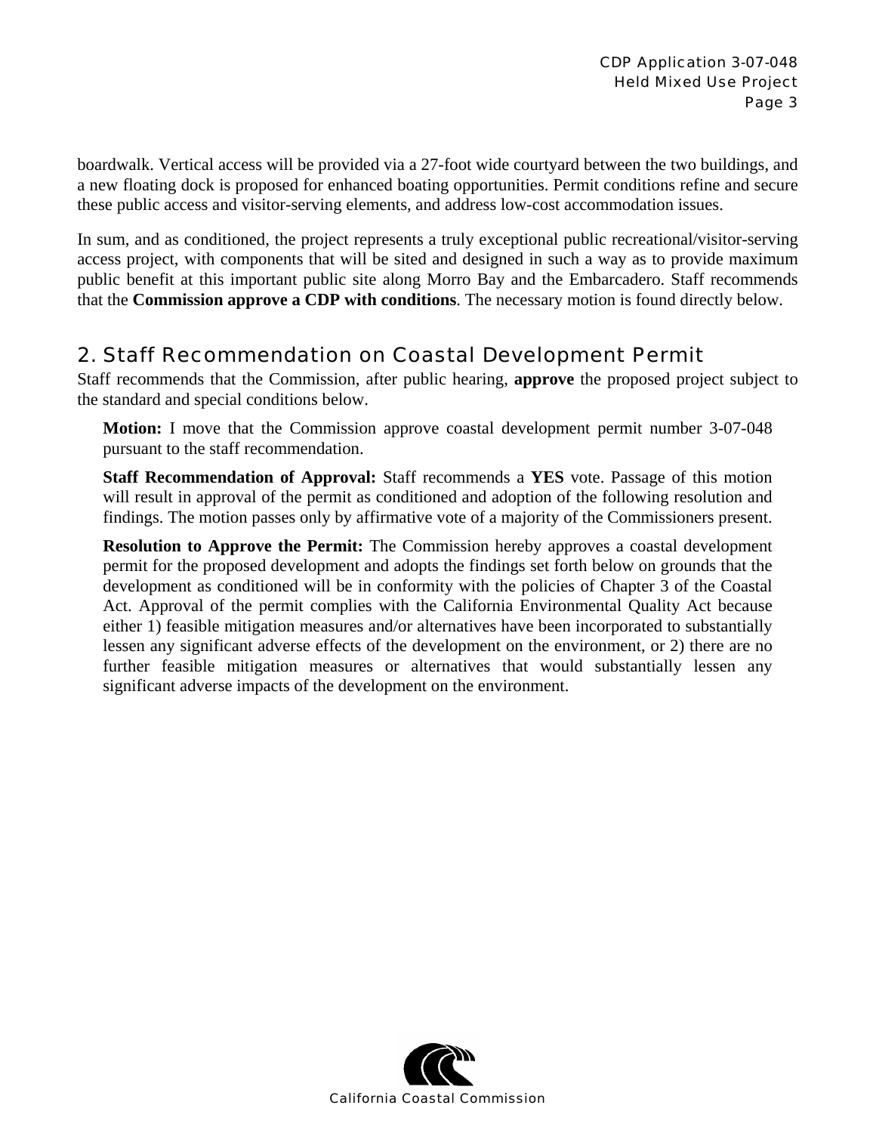boardwalk. Vertical access will be provided via a 27-foot wide courtyard between the two buildings, and a new floating dock is proposed for enhanced boating opportunities. Permit conditions refine and secure these public access and visitor-serving elements, and address low-cost accommodation issues.

In sum, and as conditioned, the project represents a truly exceptional public recreational/visitor-serving access project, with components that will be sited and designed in such a way as to provide maximum public benefit at this important public site along Morro Bay and the Embarcadero. Staff recommends that the **Commission approve a CDP with conditions**. The necessary motion is found directly below.

# 2. Staff Recommendation on Coastal Development Permit

Staff recommends that the Commission, after public hearing, **approve** the proposed project subject to the standard and special conditions below.

**Motion:** I move that the Commission approve coastal development permit number 3-07-048 pursuant to the staff recommendation.

**Staff Recommendation of Approval:** Staff recommends a **YES** vote. Passage of this motion will result in approval of the permit as conditioned and adoption of the following resolution and findings. The motion passes only by affirmative vote of a majority of the Commissioners present.

**Resolution to Approve the Permit:** The Commission hereby approves a coastal development permit for the proposed development and adopts the findings set forth below on grounds that the development as conditioned will be in conformity with the policies of Chapter 3 of the Coastal Act. Approval of the permit complies with the California Environmental Quality Act because either 1) feasible mitigation measures and/or alternatives have been incorporated to substantially lessen any significant adverse effects of the development on the environment, or 2) there are no further feasible mitigation measures or alternatives that would substantially lessen any significant adverse impacts of the development on the environment.

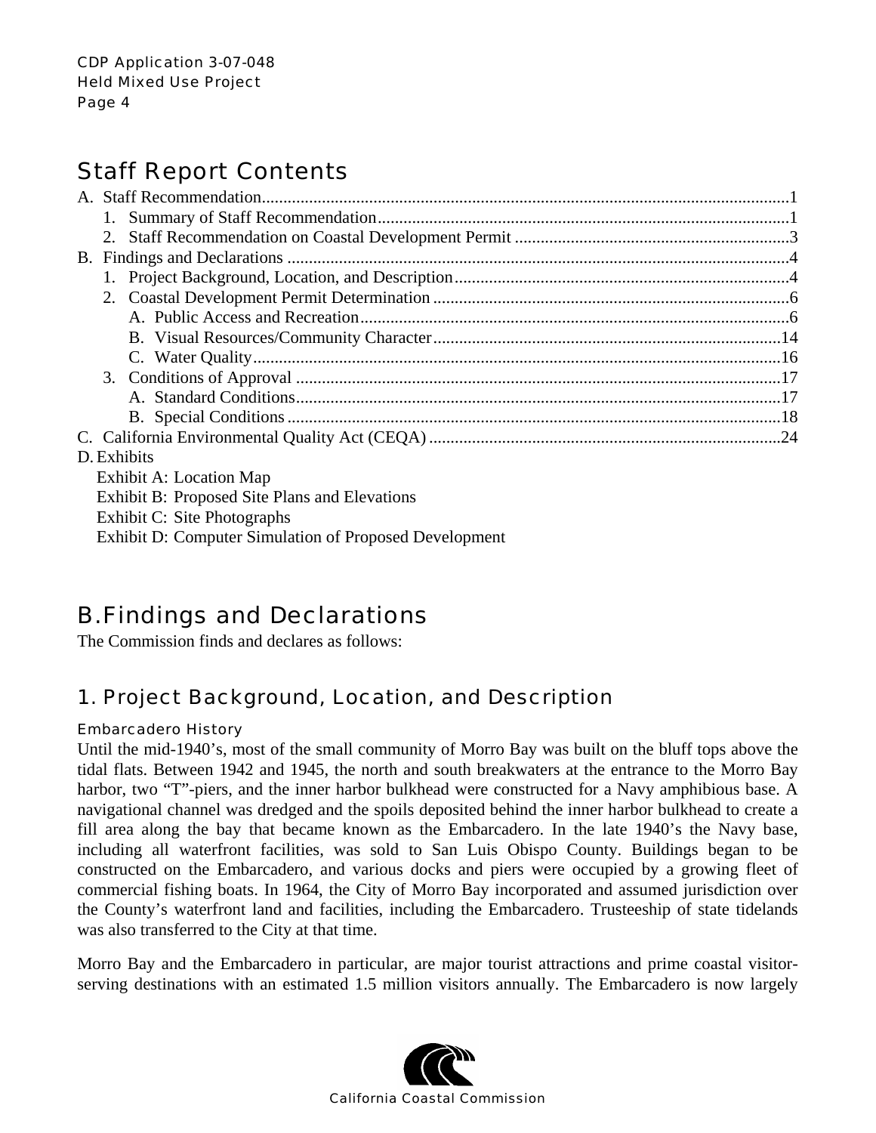# Staff Report Contents

| D. Exhibits                                   |  |  |
|-----------------------------------------------|--|--|
| Exhibit A: Location Map                       |  |  |
| Exhibit B: Proposed Site Plans and Elevations |  |  |
| Exhibit C: Site Photographs                   |  |  |

# Exhibit D: Computer Simulation of Proposed Development

# B. Findings and Declarations

The Commission finds and declares as follows:

# 1. Project Background, Location, and Description

### Embarcadero History

Until the mid-1940's, most of the small community of Morro Bay was built on the bluff tops above the tidal flats. Between 1942 and 1945, the north and south breakwaters at the entrance to the Morro Bay harbor, two "T"-piers, and the inner harbor bulkhead were constructed for a Navy amphibious base. A navigational channel was dredged and the spoils deposited behind the inner harbor bulkhead to create a fill area along the bay that became known as the Embarcadero. In the late 1940's the Navy base, including all waterfront facilities, was sold to San Luis Obispo County. Buildings began to be constructed on the Embarcadero, and various docks and piers were occupied by a growing fleet of commercial fishing boats. In 1964, the City of Morro Bay incorporated and assumed jurisdiction over the County's waterfront land and facilities, including the Embarcadero. Trusteeship of state tidelands was also transferred to the City at that time.

Morro Bay and the Embarcadero in particular, are major tourist attractions and prime coastal visitorserving destinations with an estimated 1.5 million visitors annually. The Embarcadero is now largely

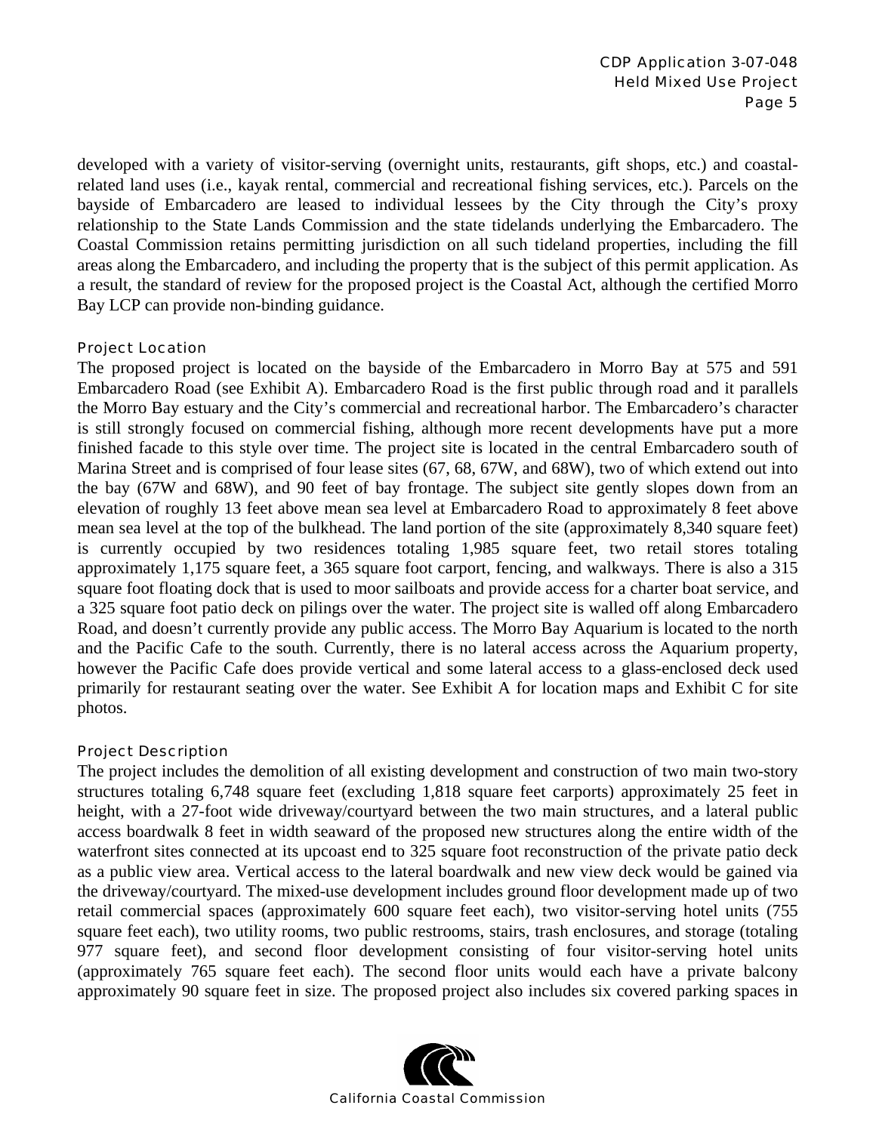developed with a variety of visitor-serving (overnight units, restaurants, gift shops, etc.) and coastalrelated land uses (i.e., kayak rental, commercial and recreational fishing services, etc.). Parcels on the bayside of Embarcadero are leased to individual lessees by the City through the City's proxy relationship to the State Lands Commission and the state tidelands underlying the Embarcadero. The Coastal Commission retains permitting jurisdiction on all such tideland properties, including the fill areas along the Embarcadero, and including the property that is the subject of this permit application. As a result, the standard of review for the proposed project is the Coastal Act, although the certified Morro Bay LCP can provide non-binding guidance.

#### Project Location

The proposed project is located on the bayside of the Embarcadero in Morro Bay at 575 and 591 Embarcadero Road (see Exhibit A). Embarcadero Road is the first public through road and it parallels the Morro Bay estuary and the City's commercial and recreational harbor. The Embarcadero's character is still strongly focused on commercial fishing, although more recent developments have put a more finished facade to this style over time. The project site is located in the central Embarcadero south of Marina Street and is comprised of four lease sites (67, 68, 67W, and 68W), two of which extend out into the bay (67W and 68W), and 90 feet of bay frontage. The subject site gently slopes down from an elevation of roughly 13 feet above mean sea level at Embarcadero Road to approximately 8 feet above mean sea level at the top of the bulkhead. The land portion of the site (approximately 8,340 square feet) is currently occupied by two residences totaling 1,985 square feet, two retail stores totaling approximately 1,175 square feet, a 365 square foot carport, fencing, and walkways. There is also a 315 square foot floating dock that is used to moor sailboats and provide access for a charter boat service, and a 325 square foot patio deck on pilings over the water. The project site is walled off along Embarcadero Road, and doesn't currently provide any public access. The Morro Bay Aquarium is located to the north and the Pacific Cafe to the south. Currently, there is no lateral access across the Aquarium property, however the Pacific Cafe does provide vertical and some lateral access to a glass-enclosed deck used primarily for restaurant seating over the water. See Exhibit A for location maps and Exhibit C for site photos.

#### Project Description

The project includes the demolition of all existing development and construction of two main two-story structures totaling 6,748 square feet (excluding 1,818 square feet carports) approximately 25 feet in height, with a 27-foot wide driveway/courtyard between the two main structures, and a lateral public access boardwalk 8 feet in width seaward of the proposed new structures along the entire width of the waterfront sites connected at its upcoast end to 325 square foot reconstruction of the private patio deck as a public view area. Vertical access to the lateral boardwalk and new view deck would be gained via the driveway/courtyard. The mixed-use development includes ground floor development made up of two retail commercial spaces (approximately 600 square feet each), two visitor-serving hotel units (755 square feet each), two utility rooms, two public restrooms, stairs, trash enclosures, and storage (totaling 977 square feet), and second floor development consisting of four visitor-serving hotel units (approximately 765 square feet each). The second floor units would each have a private balcony approximately 90 square feet in size. The proposed project also includes six covered parking spaces in

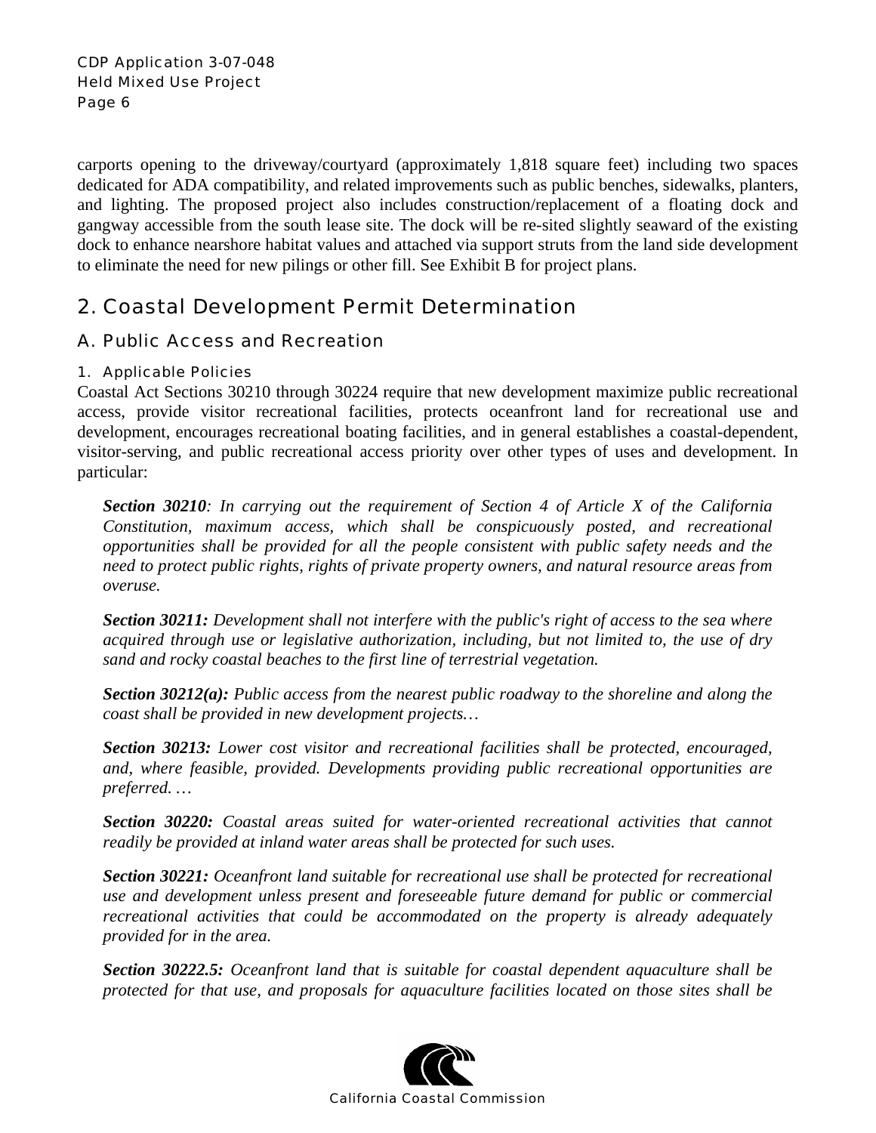carports opening to the driveway/courtyard (approximately 1,818 square feet) including two spaces dedicated for ADA compatibility, and related improvements such as public benches, sidewalks, planters, and lighting. The proposed project also includes construction/replacement of a floating dock and gangway accessible from the south lease site. The dock will be re-sited slightly seaward of the existing dock to enhance nearshore habitat values and attached via support struts from the land side development to eliminate the need for new pilings or other fill. See Exhibit B for project plans.

# 2. Coastal Development Permit Determination

## A. Public Access and Recreation

### 1. Applicable Policies

Coastal Act Sections 30210 through 30224 require that new development maximize public recreational access, provide visitor recreational facilities, protects oceanfront land for recreational use and development, encourages recreational boating facilities, and in general establishes a coastal-dependent, visitor-serving, and public recreational access priority over other types of uses and development. In particular:

*Section 30210: In carrying out the requirement of Section 4 of Article X of the California Constitution, maximum access, which shall be conspicuously posted, and recreational opportunities shall be provided for all the people consistent with public safety needs and the need to protect public rights, rights of private property owners, and natural resource areas from overuse.* 

*Section 30211: Development shall not interfere with the public's right of access to the sea where acquired through use or legislative authorization, including, but not limited to, the use of dry sand and rocky coastal beaches to the first line of terrestrial vegetation.* 

*Section 30212(a): Public access from the nearest public roadway to the shoreline and along the coast shall be provided in new development projects…* 

*Section 30213: Lower cost visitor and recreational facilities shall be protected, encouraged, and, where feasible, provided. Developments providing public recreational opportunities are preferred. …* 

*Section 30220: Coastal areas suited for water-oriented recreational activities that cannot readily be provided at inland water areas shall be protected for such uses.* 

*Section 30221: Oceanfront land suitable for recreational use shall be protected for recreational use and development unless present and foreseeable future demand for public or commercial recreational activities that could be accommodated on the property is already adequately provided for in the area.* 

*Section 30222.5: Oceanfront land that is suitable for coastal dependent aquaculture shall be protected for that use, and proposals for aquaculture facilities located on those sites shall be* 

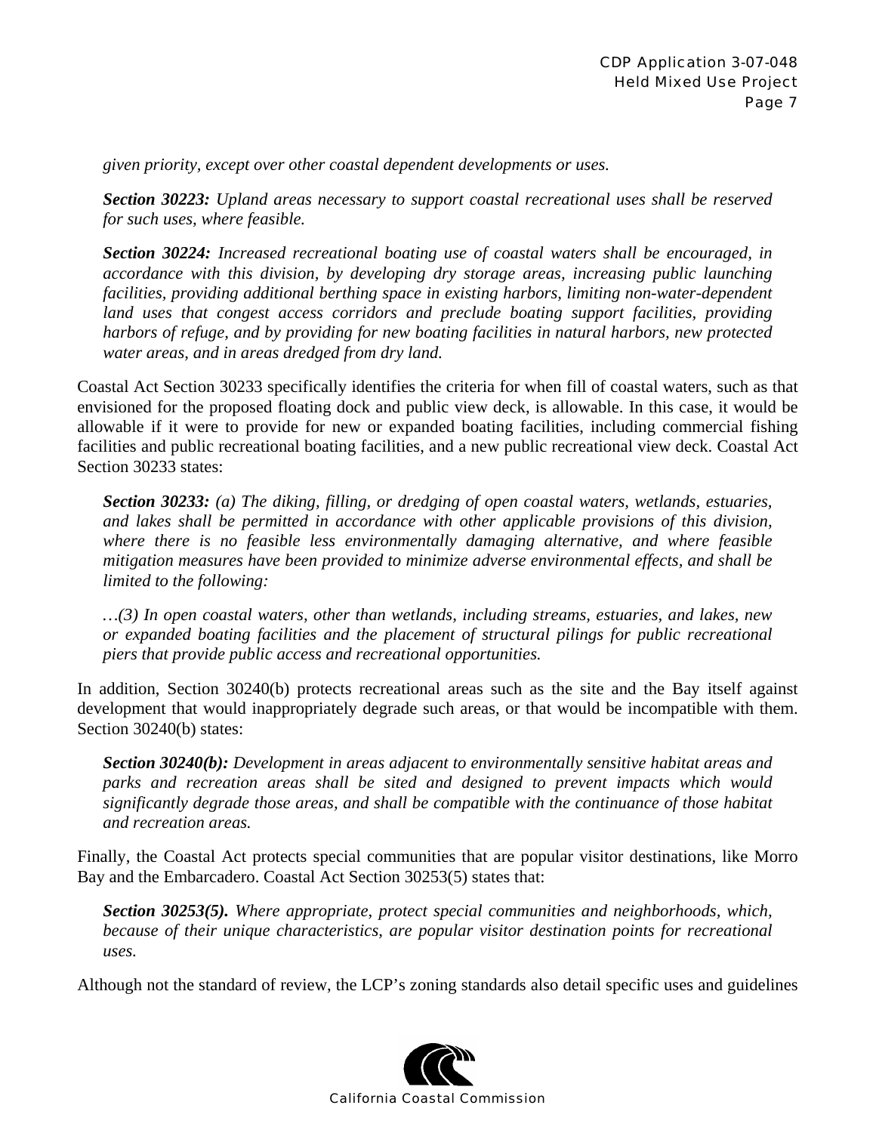*given priority, except over other coastal dependent developments or uses.* 

*Section 30223: Upland areas necessary to support coastal recreational uses shall be reserved for such uses, where feasible.* 

*Section 30224: Increased recreational boating use of coastal waters shall be encouraged, in accordance with this division, by developing dry storage areas, increasing public launching facilities, providing additional berthing space in existing harbors, limiting non-water-dependent land uses that congest access corridors and preclude boating support facilities, providing harbors of refuge, and by providing for new boating facilities in natural harbors, new protected water areas, and in areas dredged from dry land.* 

Coastal Act Section 30233 specifically identifies the criteria for when fill of coastal waters, such as that envisioned for the proposed floating dock and public view deck, is allowable. In this case, it would be allowable if it were to provide for new or expanded boating facilities, including commercial fishing facilities and public recreational boating facilities, and a new public recreational view deck. Coastal Act Section 30233 states:

*Section 30233: (a) The diking, filling, or dredging of open coastal waters, wetlands, estuaries, and lakes shall be permitted in accordance with other applicable provisions of this division, where there is no feasible less environmentally damaging alternative, and where feasible mitigation measures have been provided to minimize adverse environmental effects, and shall be limited to the following:* 

*…(3) In open coastal waters, other than wetlands, including streams, estuaries, and lakes, new or expanded boating facilities and the placement of structural pilings for public recreational piers that provide public access and recreational opportunities.* 

In addition, Section 30240(b) protects recreational areas such as the site and the Bay itself against development that would inappropriately degrade such areas, or that would be incompatible with them. Section 30240(b) states:

*Section 30240(b): Development in areas adjacent to environmentally sensitive habitat areas and parks and recreation areas shall be sited and designed to prevent impacts which would significantly degrade those areas, and shall be compatible with the continuance of those habitat and recreation areas.* 

Finally, the Coastal Act protects special communities that are popular visitor destinations, like Morro Bay and the Embarcadero. Coastal Act Section 30253(5) states that:

*Section 30253(5). Where appropriate, protect special communities and neighborhoods, which, because of their unique characteristics, are popular visitor destination points for recreational uses.* 

Although not the standard of review, the LCP's zoning standards also detail specific uses and guidelines

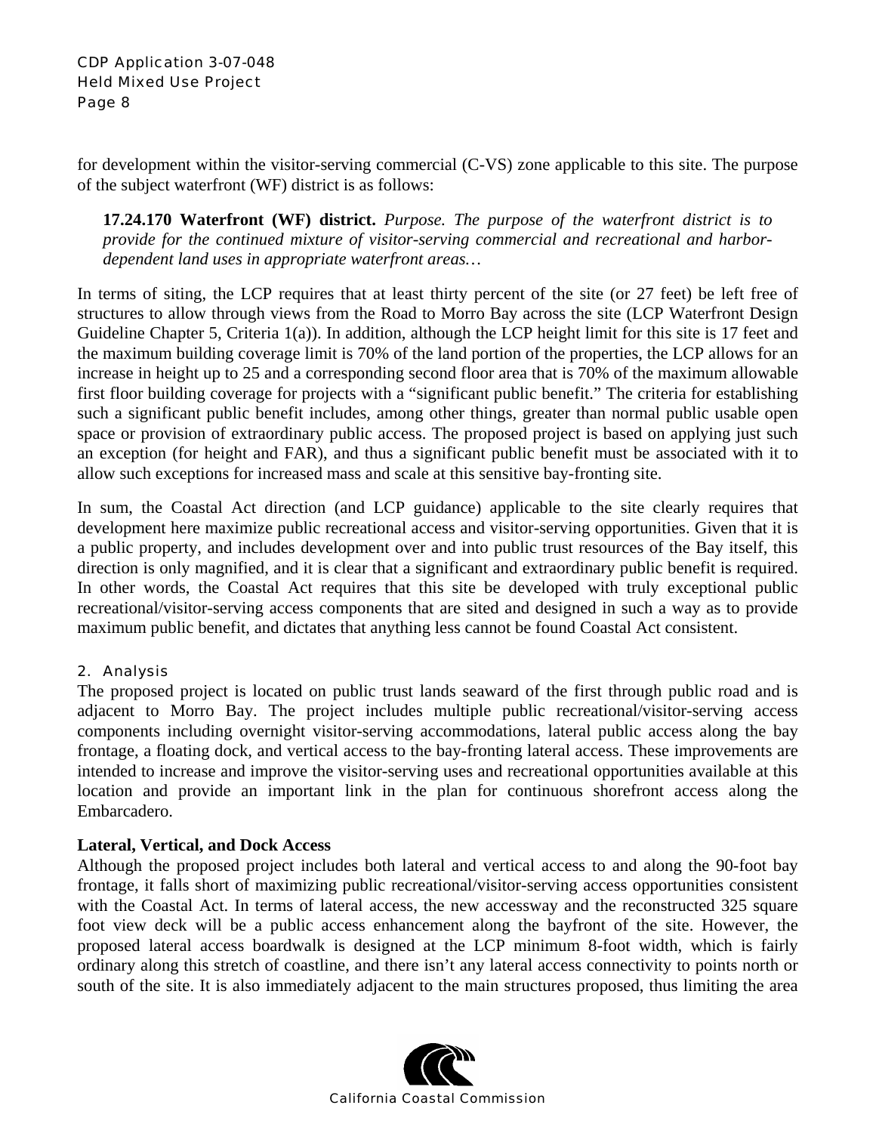for development within the visitor-serving commercial (C-VS) zone applicable to this site. The purpose of the subject waterfront (WF) district is as follows:

**17.24.170 Waterfront (WF) district.** *Purpose. The purpose of the waterfront district is to provide for the continued mixture of visitor-serving commercial and recreational and harbordependent land uses in appropriate waterfront areas…* 

In terms of siting, the LCP requires that at least thirty percent of the site (or 27 feet) be left free of structures to allow through views from the Road to Morro Bay across the site (LCP Waterfront Design Guideline Chapter 5, Criteria 1(a)). In addition, although the LCP height limit for this site is 17 feet and the maximum building coverage limit is 70% of the land portion of the properties, the LCP allows for an increase in height up to 25 and a corresponding second floor area that is 70% of the maximum allowable first floor building coverage for projects with a "significant public benefit." The criteria for establishing such a significant public benefit includes, among other things, greater than normal public usable open space or provision of extraordinary public access. The proposed project is based on applying just such an exception (for height and FAR), and thus a significant public benefit must be associated with it to allow such exceptions for increased mass and scale at this sensitive bay-fronting site.

In sum, the Coastal Act direction (and LCP guidance) applicable to the site clearly requires that development here maximize public recreational access and visitor-serving opportunities. Given that it is a public property, and includes development over and into public trust resources of the Bay itself, this direction is only magnified, and it is clear that a significant and extraordinary public benefit is required. In other words, the Coastal Act requires that this site be developed with truly exceptional public recreational/visitor-serving access components that are sited and designed in such a way as to provide maximum public benefit, and dictates that anything less cannot be found Coastal Act consistent.

### 2. Analysis

The proposed project is located on public trust lands seaward of the first through public road and is adjacent to Morro Bay. The project includes multiple public recreational/visitor-serving access components including overnight visitor-serving accommodations, lateral public access along the bay frontage, a floating dock, and vertical access to the bay-fronting lateral access. These improvements are intended to increase and improve the visitor-serving uses and recreational opportunities available at this location and provide an important link in the plan for continuous shorefront access along the Embarcadero.

#### **Lateral, Vertical, and Dock Access**

Although the proposed project includes both lateral and vertical access to and along the 90-foot bay frontage, it falls short of maximizing public recreational/visitor-serving access opportunities consistent with the Coastal Act. In terms of lateral access, the new accessway and the reconstructed 325 square foot view deck will be a public access enhancement along the bayfront of the site. However, the proposed lateral access boardwalk is designed at the LCP minimum 8-foot width, which is fairly ordinary along this stretch of coastline, and there isn't any lateral access connectivity to points north or south of the site. It is also immediately adjacent to the main structures proposed, thus limiting the area

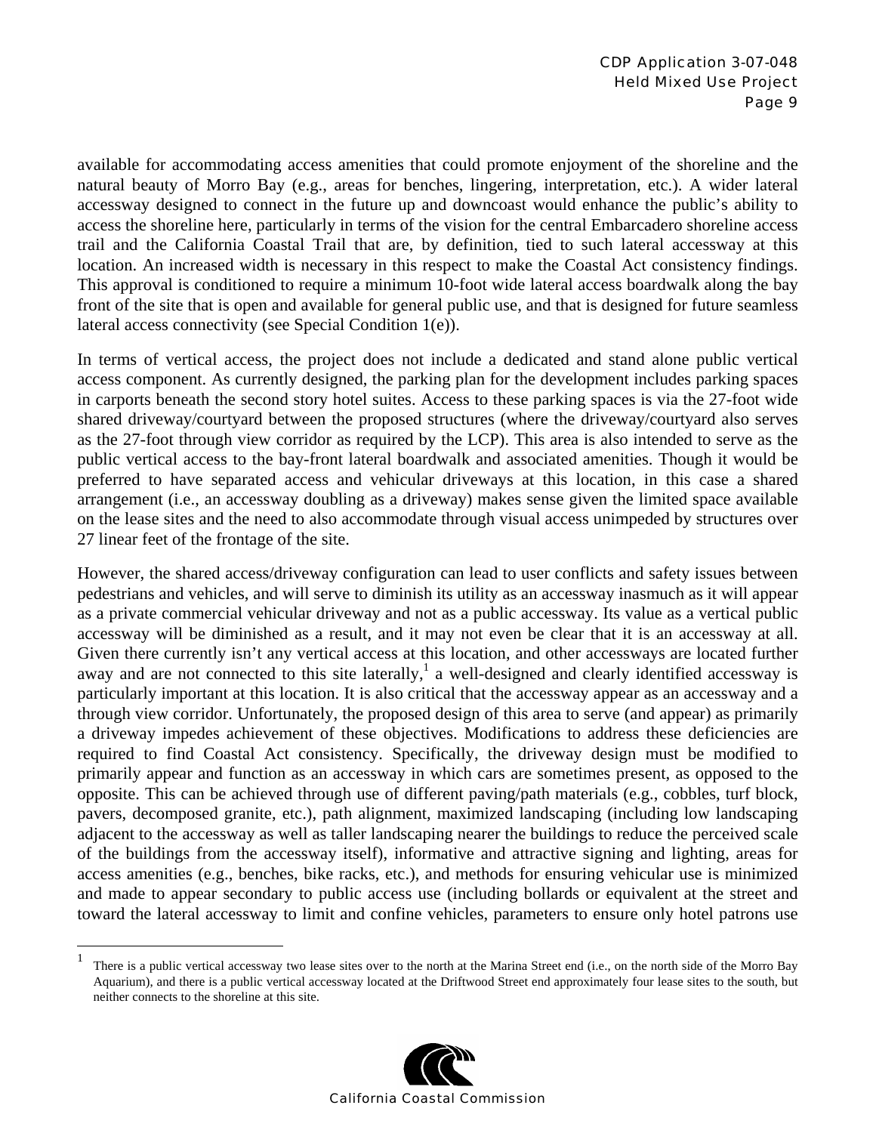available for accommodating access amenities that could promote enjoyment of the shoreline and the natural beauty of Morro Bay (e.g., areas for benches, lingering, interpretation, etc.). A wider lateral accessway designed to connect in the future up and downcoast would enhance the public's ability to access the shoreline here, particularly in terms of the vision for the central Embarcadero shoreline access trail and the California Coastal Trail that are, by definition, tied to such lateral accessway at this location. An increased width is necessary in this respect to make the Coastal Act consistency findings. This approval is conditioned to require a minimum 10-foot wide lateral access boardwalk along the bay front of the site that is open and available for general public use, and that is designed for future seamless lateral access connectivity (see Special Condition 1(e)).

In terms of vertical access, the project does not include a dedicated and stand alone public vertical access component. As currently designed, the parking plan for the development includes parking spaces in carports beneath the second story hotel suites. Access to these parking spaces is via the 27-foot wide shared driveway/courtyard between the proposed structures (where the driveway/courtyard also serves as the 27-foot through view corridor as required by the LCP). This area is also intended to serve as the public vertical access to the bay-front lateral boardwalk and associated amenities. Though it would be preferred to have separated access and vehicular driveways at this location, in this case a shared arrangement (i.e., an accessway doubling as a driveway) makes sense given the limited space available on the lease sites and the need to also accommodate through visual access unimpeded by structures over 27 linear feet of the frontage of the site.

However, the shared access/driveway configuration can lead to user conflicts and safety issues between pedestrians and vehicles, and will serve to diminish its utility as an accessway inasmuch as it will appear as a private commercial vehicular driveway and not as a public accessway. Its value as a vertical public accessway will be diminished as a result, and it may not even be clear that it is an accessway at all. Given there currently isn't any vertical access at this location, and other accessways are located further away and are not connected to this site laterally,<sup>1</sup> a well-designed and clearly identified accessway is particularly important at this location. It is also critical that the accessway appear as an accessway and a through view corridor. Unfortunately, the proposed design of this area to serve (and appear) as primarily a driveway impedes achievement of these objectives. Modifications to address these deficiencies are required to find Coastal Act consistency. Specifically, the driveway design must be modified to primarily appear and function as an accessway in which cars are sometimes present, as opposed to the opposite. This can be achieved through use of different paving/path materials (e.g., cobbles, turf block, pavers, decomposed granite, etc.), path alignment, maximized landscaping (including low landscaping adjacent to the accessway as well as taller landscaping nearer the buildings to reduce the perceived scale of the buildings from the accessway itself), informative and attractive signing and lighting, areas for access amenities (e.g., benches, bike racks, etc.), and methods for ensuring vehicular use is minimized and made to appear secondary to public access use (including bollards or equivalent at the street and toward the lateral accessway to limit and confine vehicles, parameters to ensure only hotel patrons use

1



There is a public vertical accessway two lease sites over to the north at the Marina Street end (i.e., on the north side of the Morro Bay Aquarium), and there is a public vertical accessway located at the Driftwood Street end approximately four lease sites to the south, but neither connects to the shoreline at this site.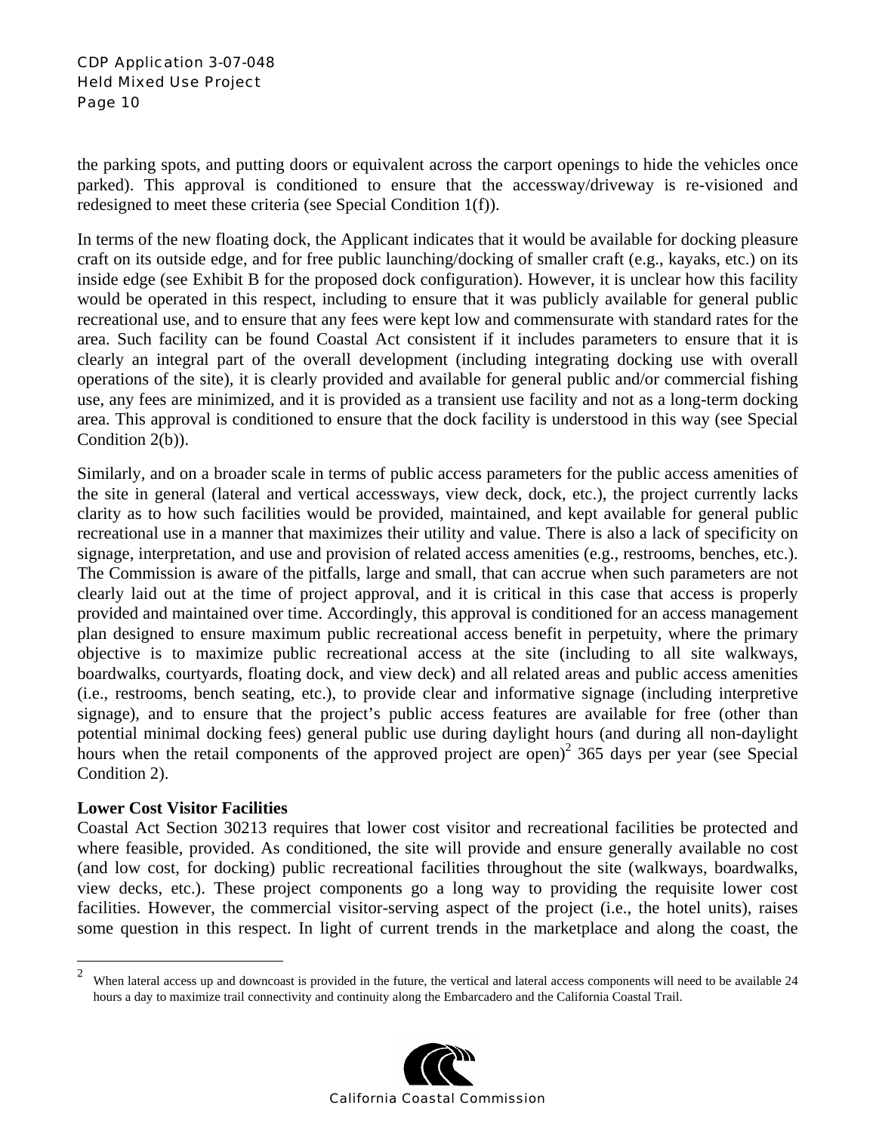#### CDP Application 3-07-048 Held Mixed Use Project Page 10

the parking spots, and putting doors or equivalent across the carport openings to hide the vehicles once parked). This approval is conditioned to ensure that the accessway/driveway is re-visioned and redesigned to meet these criteria (see Special Condition 1(f)).

In terms of the new floating dock, the Applicant indicates that it would be available for docking pleasure craft on its outside edge, and for free public launching/docking of smaller craft (e.g., kayaks, etc.) on its inside edge (see Exhibit B for the proposed dock configuration). However, it is unclear how this facility would be operated in this respect, including to ensure that it was publicly available for general public recreational use, and to ensure that any fees were kept low and commensurate with standard rates for the area. Such facility can be found Coastal Act consistent if it includes parameters to ensure that it is clearly an integral part of the overall development (including integrating docking use with overall operations of the site), it is clearly provided and available for general public and/or commercial fishing use, any fees are minimized, and it is provided as a transient use facility and not as a long-term docking area. This approval is conditioned to ensure that the dock facility is understood in this way (see Special Condition 2(b)).

Similarly, and on a broader scale in terms of public access parameters for the public access amenities of the site in general (lateral and vertical accessways, view deck, dock, etc.), the project currently lacks clarity as to how such facilities would be provided, maintained, and kept available for general public recreational use in a manner that maximizes their utility and value. There is also a lack of specificity on signage, interpretation, and use and provision of related access amenities (e.g., restrooms, benches, etc.). The Commission is aware of the pitfalls, large and small, that can accrue when such parameters are not clearly laid out at the time of project approval, and it is critical in this case that access is properly provided and maintained over time. Accordingly, this approval is conditioned for an access management plan designed to ensure maximum public recreational access benefit in perpetuity, where the primary objective is to maximize public recreational access at the site (including to all site walkways, boardwalks, courtyards, floating dock, and view deck) and all related areas and public access amenities (i.e., restrooms, bench seating, etc.), to provide clear and informative signage (including interpretive signage), and to ensure that the project's public access features are available for free (other than potential minimal docking fees) general public use during daylight hours (and during all non-daylight hours when the retail components of the approved project are open)<sup>2</sup> 365 days per year (see Special Condition 2).

#### **Lower Cost Visitor Facilities**

Coastal Act Section 30213 requires that lower cost visitor and recreational facilities be protected and where feasible, provided. As conditioned, the site will provide and ensure generally available no cost (and low cost, for docking) public recreational facilities throughout the site (walkways, boardwalks, view decks, etc.). These project components go a long way to providing the requisite lower cost facilities. However, the commercial visitor-serving aspect of the project (i.e., the hotel units), raises some question in this respect. In light of current trends in the marketplace and along the coast, the

 $\sqrt{2}$ When lateral access up and downcoast is provided in the future, the vertical and lateral access components will need to be available 24 hours a day to maximize trail connectivity and continuity along the Embarcadero and the California Coastal Trail.

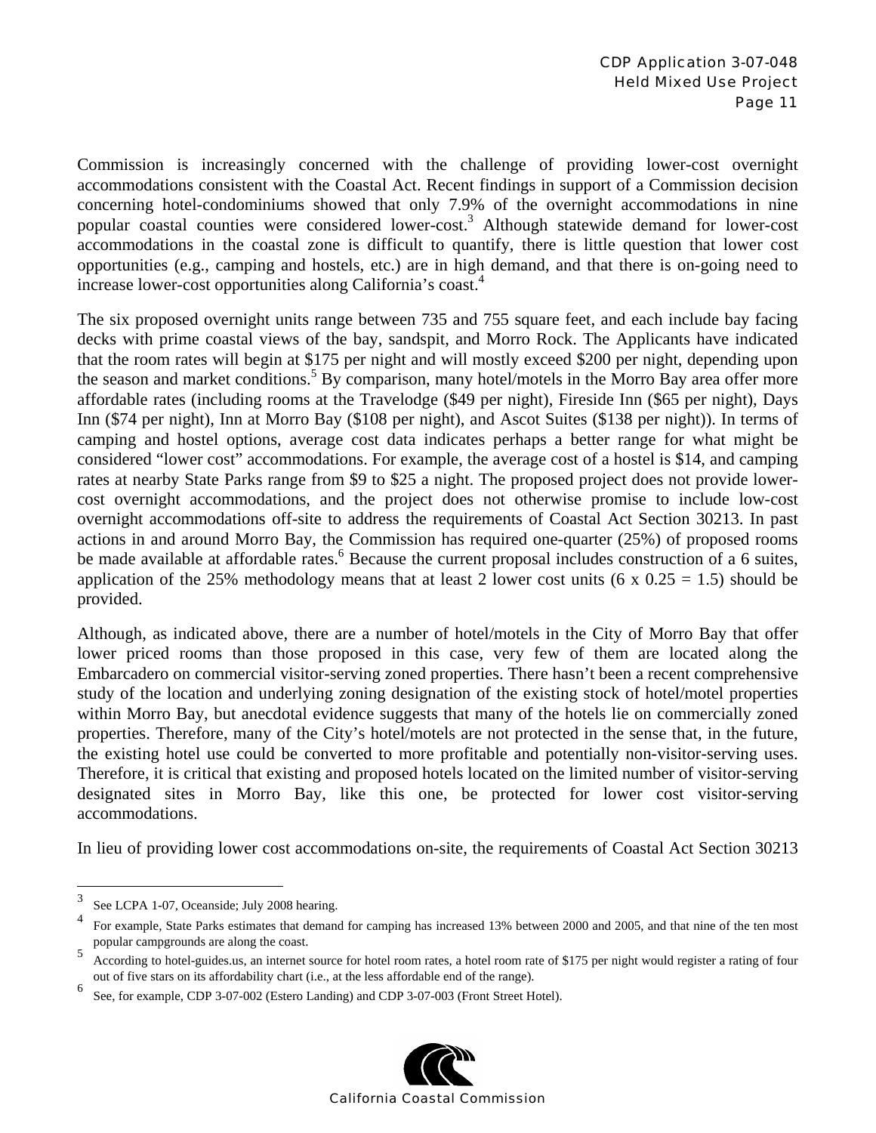Commission is increasingly concerned with the challenge of providing lower-cost overnight accommodations consistent with the Coastal Act. Recent findings in support of a Commission decision concerning hotel-condominiums showed that only 7.9% of the overnight accommodations in nine popular coastal counties were considered lower-cost.<sup>3</sup> Although statewide demand for lower-cost accommodations in the coastal zone is difficult to quantify, there is little question that lower cost opportunities (e.g., camping and hostels, etc.) are in high demand, and that there is on-going need to increase lower-cost opportunities along California's coast.4

The six proposed overnight units range between 735 and 755 square feet, and each include bay facing decks with prime coastal views of the bay, sandspit, and Morro Rock. The Applicants have indicated that the room rates will begin at \$175 per night and will mostly exceed \$200 per night, depending upon the season and market conditions.<sup>5</sup> By comparison, many hotel/motels in the Morro Bay area offer more affordable rates (including rooms at the Travelodge (\$49 per night), Fireside Inn (\$65 per night), Days Inn (\$74 per night), Inn at Morro Bay (\$108 per night), and Ascot Suites (\$138 per night)). In terms of camping and hostel options, average cost data indicates perhaps a better range for what might be considered "lower cost" accommodations. For example, the average cost of a hostel is \$14, and camping rates at nearby State Parks range from \$9 to \$25 a night. The proposed project does not provide lowercost overnight accommodations, and the project does not otherwise promise to include low-cost overnight accommodations off-site to address the requirements of Coastal Act Section 30213. In past actions in and around Morro Bay, the Commission has required one-quarter (25%) of proposed rooms be made available at affordable rates.<sup>6</sup> Because the current proposal includes construction of a 6 suites, application of the 25% methodology means that at least 2 lower cost units (6 x  $0.25 = 1.5$ ) should be provided.

Although, as indicated above, there are a number of hotel/motels in the City of Morro Bay that offer lower priced rooms than those proposed in this case, very few of them are located along the Embarcadero on commercial visitor-serving zoned properties. There hasn't been a recent comprehensive study of the location and underlying zoning designation of the existing stock of hotel/motel properties within Morro Bay, but anecdotal evidence suggests that many of the hotels lie on commercially zoned properties. Therefore, many of the City's hotel/motels are not protected in the sense that, in the future, the existing hotel use could be converted to more profitable and potentially non-visitor-serving uses. Therefore, it is critical that existing and proposed hotels located on the limited number of visitor-serving designated sites in Morro Bay, like this one, be protected for lower cost visitor-serving accommodations.

In lieu of providing lower cost accommodations on-site, the requirements of Coastal Act Section 30213

 $\overline{a}$ 

<sup>6</sup> See, for example, CDP 3-07-002 (Estero Landing) and CDP 3-07-003 (Front Street Hotel).



<sup>3</sup> See LCPA 1-07, Oceanside; July 2008 hearing.

<sup>4</sup> For example, State Parks estimates that demand for camping has increased 13% between 2000 and 2005, and that nine of the ten most popular campgrounds are along the coast.

<sup>5</sup> According to hotel-guides.us, an internet source for hotel room rates, a hotel room rate of \$175 per night would register a rating of four out of five stars on its affordability chart (i.e., at the less affordable end of the range).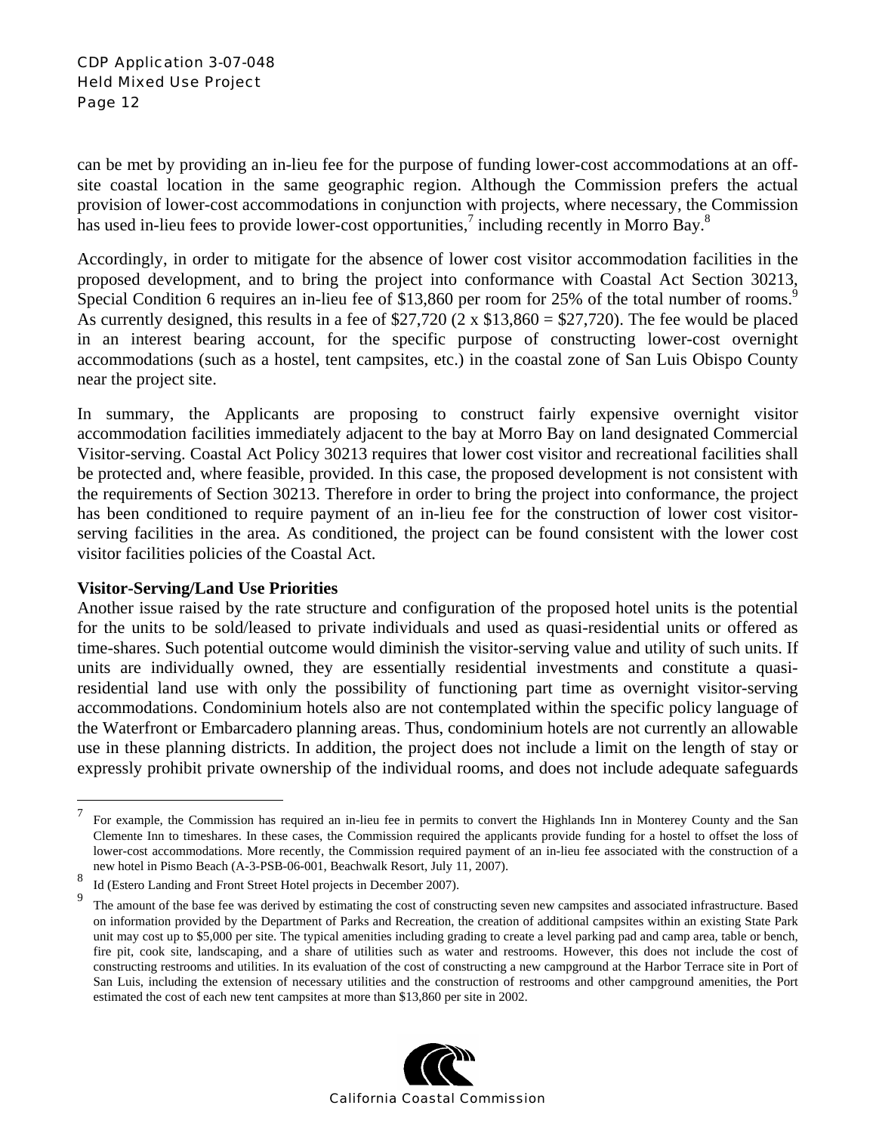#### CDP Application 3-07-048 Held Mixed Use Project Page 12

can be met by providing an in-lieu fee for the purpose of funding lower-cost accommodations at an offsite coastal location in the same geographic region. Although the Commission prefers the actual provision of lower-cost accommodations in conjunction with projects, where necessary, the Commission has used in-lieu fees to provide lower-cost opportunities,<sup>7</sup> including recently in Morro Bay.<sup>8</sup>

Accordingly, in order to mitigate for the absence of lower cost visitor accommodation facilities in the proposed development, and to bring the project into conformance with Coastal Act Section 30213, Special Condition 6 requires an in-lieu fee of \$13,860 per room for 25% of the total number of rooms.<sup>9</sup> As currently designed, this results in a fee of  $$27,720$  (2 x  $$13,860 = $27,720$ ). The fee would be placed in an interest bearing account, for the specific purpose of constructing lower-cost overnight accommodations (such as a hostel, tent campsites, etc.) in the coastal zone of San Luis Obispo County near the project site.

In summary, the Applicants are proposing to construct fairly expensive overnight visitor accommodation facilities immediately adjacent to the bay at Morro Bay on land designated Commercial Visitor-serving. Coastal Act Policy 30213 requires that lower cost visitor and recreational facilities shall be protected and, where feasible, provided. In this case, the proposed development is not consistent with the requirements of Section 30213. Therefore in order to bring the project into conformance, the project has been conditioned to require payment of an in-lieu fee for the construction of lower cost visitorserving facilities in the area. As conditioned, the project can be found consistent with the lower cost visitor facilities policies of the Coastal Act.

#### **Visitor-Serving/Land Use Priorities**

1

Another issue raised by the rate structure and configuration of the proposed hotel units is the potential for the units to be sold/leased to private individuals and used as quasi-residential units or offered as time-shares. Such potential outcome would diminish the visitor-serving value and utility of such units. If units are individually owned, they are essentially residential investments and constitute a quasiresidential land use with only the possibility of functioning part time as overnight visitor-serving accommodations. Condominium hotels also are not contemplated within the specific policy language of the Waterfront or Embarcadero planning areas. Thus, condominium hotels are not currently an allowable use in these planning districts. In addition, the project does not include a limit on the length of stay or expressly prohibit private ownership of the individual rooms, and does not include adequate safeguards

<sup>&</sup>lt;sup>9</sup> The amount of the base fee was derived by estimating the cost of constructing seven new campsites and associated infrastructure. Based on information provided by the Department of Parks and Recreation, the creation of additional campsites within an existing State Park unit may cost up to \$5,000 per site. The typical amenities including grading to create a level parking pad and camp area, table or bench, fire pit, cook site, landscaping, and a share of utilities such as water and restrooms. However, this does not include the cost of constructing restrooms and utilities. In its evaluation of the cost of constructing a new campground at the Harbor Terrace site in Port of San Luis, including the extension of necessary utilities and the construction of restrooms and other campground amenities, the Port estimated the cost of each new tent campsites at more than \$13,860 per site in 2002.



<sup>7</sup> For example, the Commission has required an in-lieu fee in permits to convert the Highlands Inn in Monterey County and the San Clemente Inn to timeshares. In these cases, the Commission required the applicants provide funding for a hostel to offset the loss of lower-cost accommodations. More recently, the Commission required payment of an in-lieu fee associated with the construction of a new hotel in Pismo Beach (A-3-PSB-06-001, Beachwalk Resort, July 11, 2007).

<sup>8</sup> Id (Estero Landing and Front Street Hotel projects in December 2007).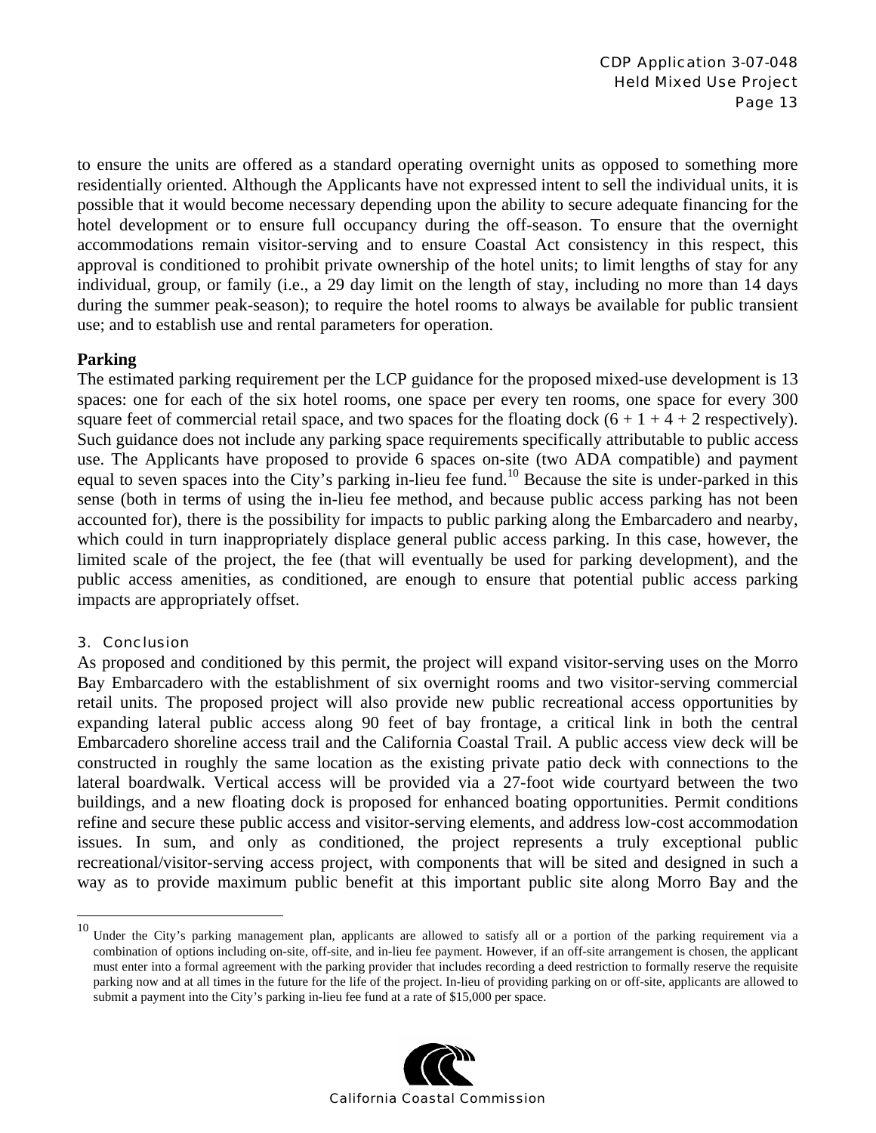to ensure the units are offered as a standard operating overnight units as opposed to something more residentially oriented. Although the Applicants have not expressed intent to sell the individual units, it is possible that it would become necessary depending upon the ability to secure adequate financing for the hotel development or to ensure full occupancy during the off-season. To ensure that the overnight accommodations remain visitor-serving and to ensure Coastal Act consistency in this respect, this approval is conditioned to prohibit private ownership of the hotel units; to limit lengths of stay for any individual, group, or family (i.e., a 29 day limit on the length of stay, including no more than 14 days during the summer peak-season); to require the hotel rooms to always be available for public transient use; and to establish use and rental parameters for operation.

#### **Parking**

The estimated parking requirement per the LCP guidance for the proposed mixed-use development is 13 spaces: one for each of the six hotel rooms, one space per every ten rooms, one space for every 300 square feet of commercial retail space, and two spaces for the floating dock  $(6 + 1 + 4 + 2$  respectively). Such guidance does not include any parking space requirements specifically attributable to public access use. The Applicants have proposed to provide 6 spaces on-site (two ADA compatible) and payment equal to seven spaces into the City's parking in-lieu fee fund.<sup>10</sup> Because the site is under-parked in this sense (both in terms of using the in-lieu fee method, and because public access parking has not been accounted for), there is the possibility for impacts to public parking along the Embarcadero and nearby, which could in turn inappropriately displace general public access parking. In this case, however, the limited scale of the project, the fee (that will eventually be used for parking development), and the public access amenities, as conditioned, are enough to ensure that potential public access parking impacts are appropriately offset.

#### 3. Conclusion

 $\overline{a}$ 

As proposed and conditioned by this permit, the project will expand visitor-serving uses on the Morro Bay Embarcadero with the establishment of six overnight rooms and two visitor-serving commercial retail units. The proposed project will also provide new public recreational access opportunities by expanding lateral public access along 90 feet of bay frontage, a critical link in both the central Embarcadero shoreline access trail and the California Coastal Trail. A public access view deck will be constructed in roughly the same location as the existing private patio deck with connections to the lateral boardwalk. Vertical access will be provided via a 27-foot wide courtyard between the two buildings, and a new floating dock is proposed for enhanced boating opportunities. Permit conditions refine and secure these public access and visitor-serving elements, and address low-cost accommodation issues. In sum, and only as conditioned, the project represents a truly exceptional public recreational/visitor-serving access project, with components that will be sited and designed in such a way as to provide maximum public benefit at this important public site along Morro Bay and the

<sup>&</sup>lt;sup>10</sup> Under the City's parking management plan, applicants are allowed to satisfy all or a portion of the parking requirement via a combination of options including on-site, off-site, and in-lieu fee payment. However, if an off-site arrangement is chosen, the applicant must enter into a formal agreement with the parking provider that includes recording a deed restriction to formally reserve the requisite parking now and at all times in the future for the life of the project. In-lieu of providing parking on or off-site, applicants are allowed to submit a payment into the City's parking in-lieu fee fund at a rate of \$15,000 per space.

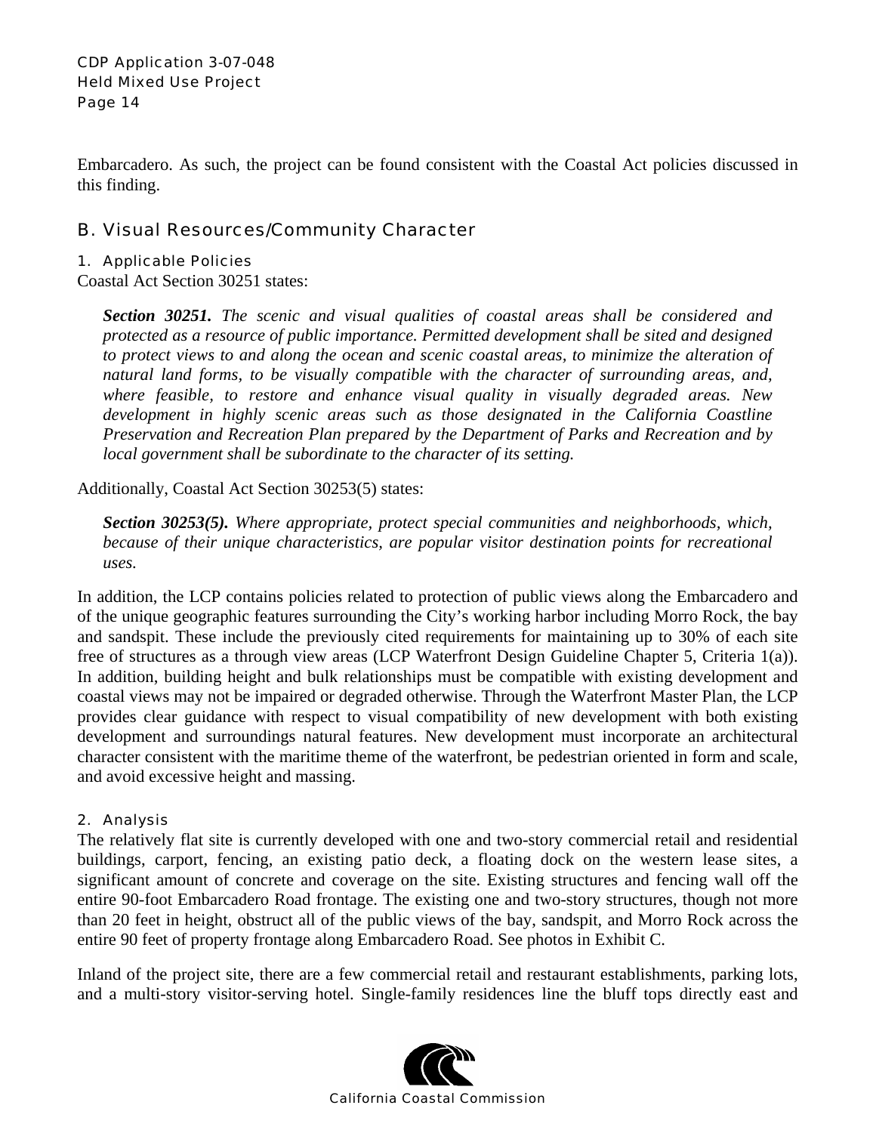Embarcadero. As such, the project can be found consistent with the Coastal Act policies discussed in this finding.

## B. Visual Resources/Community Character

#### 1. Applicable Policies

Coastal Act Section 30251 states:

*Section 30251. The scenic and visual qualities of coastal areas shall be considered and protected as a resource of public importance. Permitted development shall be sited and designed to protect views to and along the ocean and scenic coastal areas, to minimize the alteration of natural land forms, to be visually compatible with the character of surrounding areas, and, where feasible, to restore and enhance visual quality in visually degraded areas. New development in highly scenic areas such as those designated in the California Coastline Preservation and Recreation Plan prepared by the Department of Parks and Recreation and by local government shall be subordinate to the character of its setting.* 

Additionally, Coastal Act Section 30253(5) states:

*Section 30253(5). Where appropriate, protect special communities and neighborhoods, which, because of their unique characteristics, are popular visitor destination points for recreational uses.* 

In addition, the LCP contains policies related to protection of public views along the Embarcadero and of the unique geographic features surrounding the City's working harbor including Morro Rock, the bay and sandspit. These include the previously cited requirements for maintaining up to 30% of each site free of structures as a through view areas (LCP Waterfront Design Guideline Chapter 5, Criteria 1(a)). In addition, building height and bulk relationships must be compatible with existing development and coastal views may not be impaired or degraded otherwise. Through the Waterfront Master Plan, the LCP provides clear guidance with respect to visual compatibility of new development with both existing development and surroundings natural features. New development must incorporate an architectural character consistent with the maritime theme of the waterfront, be pedestrian oriented in form and scale, and avoid excessive height and massing.

#### 2. Analysis

The relatively flat site is currently developed with one and two-story commercial retail and residential buildings, carport, fencing, an existing patio deck, a floating dock on the western lease sites, a significant amount of concrete and coverage on the site. Existing structures and fencing wall off the entire 90-foot Embarcadero Road frontage. The existing one and two-story structures, though not more than 20 feet in height, obstruct all of the public views of the bay, sandspit, and Morro Rock across the entire 90 feet of property frontage along Embarcadero Road. See photos in Exhibit C.

Inland of the project site, there are a few commercial retail and restaurant establishments, parking lots, and a multi-story visitor-serving hotel. Single-family residences line the bluff tops directly east and

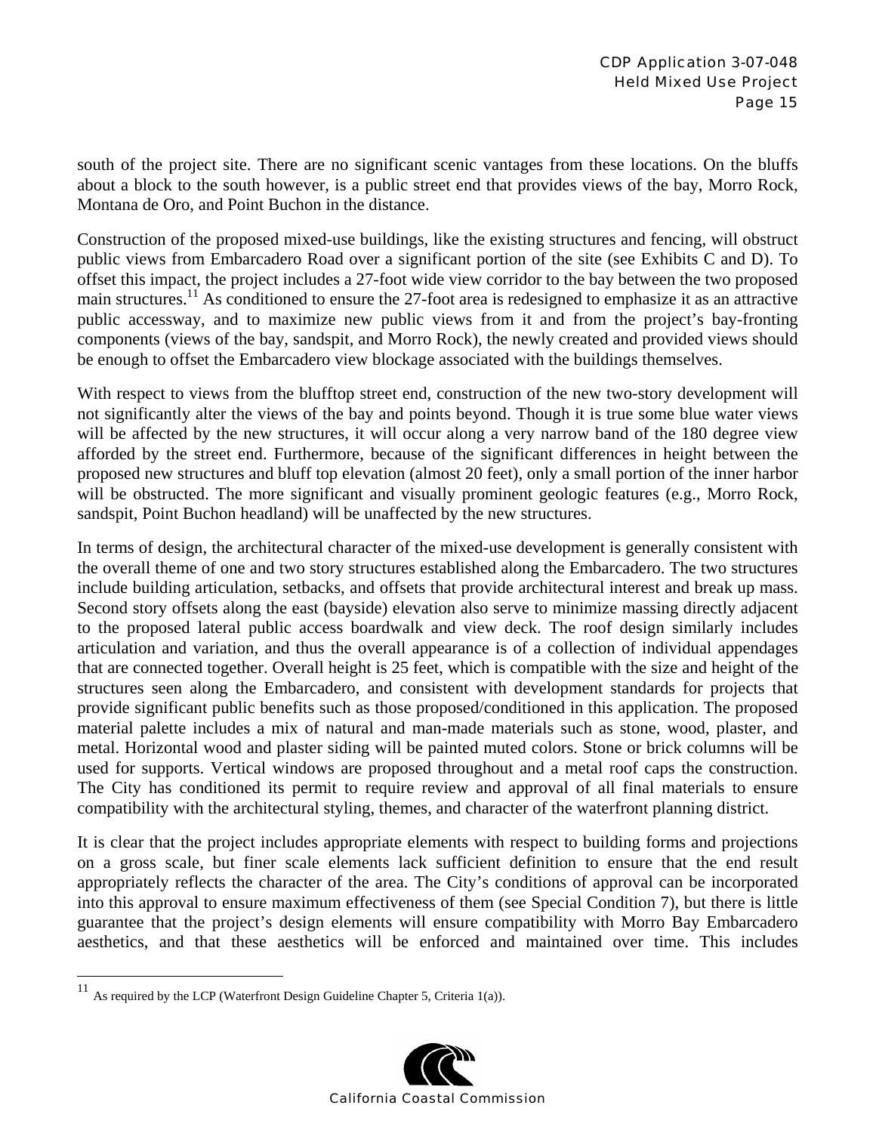south of the project site. There are no significant scenic vantages from these locations. On the bluffs about a block to the south however, is a public street end that provides views of the bay, Morro Rock, Montana de Oro, and Point Buchon in the distance.

Construction of the proposed mixed-use buildings, like the existing structures and fencing, will obstruct public views from Embarcadero Road over a significant portion of the site (see Exhibits C and D). To offset this impact, the project includes a 27-foot wide view corridor to the bay between the two proposed main structures.11 As conditioned to ensure the 27-foot area is redesigned to emphasize it as an attractive public accessway, and to maximize new public views from it and from the project's bay-fronting components (views of the bay, sandspit, and Morro Rock), the newly created and provided views should be enough to offset the Embarcadero view blockage associated with the buildings themselves.

With respect to views from the blufftop street end, construction of the new two-story development will not significantly alter the views of the bay and points beyond. Though it is true some blue water views will be affected by the new structures, it will occur along a very narrow band of the 180 degree view afforded by the street end. Furthermore, because of the significant differences in height between the proposed new structures and bluff top elevation (almost 20 feet), only a small portion of the inner harbor will be obstructed. The more significant and visually prominent geologic features (e.g., Morro Rock, sandspit, Point Buchon headland) will be unaffected by the new structures.

In terms of design, the architectural character of the mixed-use development is generally consistent with the overall theme of one and two story structures established along the Embarcadero. The two structures include building articulation, setbacks, and offsets that provide architectural interest and break up mass. Second story offsets along the east (bayside) elevation also serve to minimize massing directly adjacent to the proposed lateral public access boardwalk and view deck. The roof design similarly includes articulation and variation, and thus the overall appearance is of a collection of individual appendages that are connected together. Overall height is 25 feet, which is compatible with the size and height of the structures seen along the Embarcadero, and consistent with development standards for projects that provide significant public benefits such as those proposed/conditioned in this application. The proposed material palette includes a mix of natural and man-made materials such as stone, wood, plaster, and metal. Horizontal wood and plaster siding will be painted muted colors. Stone or brick columns will be used for supports. Vertical windows are proposed throughout and a metal roof caps the construction. The City has conditioned its permit to require review and approval of all final materials to ensure compatibility with the architectural styling, themes, and character of the waterfront planning district.

It is clear that the project includes appropriate elements with respect to building forms and projections on a gross scale, but finer scale elements lack sufficient definition to ensure that the end result appropriately reflects the character of the area. The City's conditions of approval can be incorporated into this approval to ensure maximum effectiveness of them (see Special Condition 7), but there is little guarantee that the project's design elements will ensure compatibility with Morro Bay Embarcadero aesthetics, and that these aesthetics will be enforced and maintained over time. This includes

1



<sup>&</sup>lt;sup>11</sup> As required by the LCP (Waterfront Design Guideline Chapter 5, Criteria 1(a)).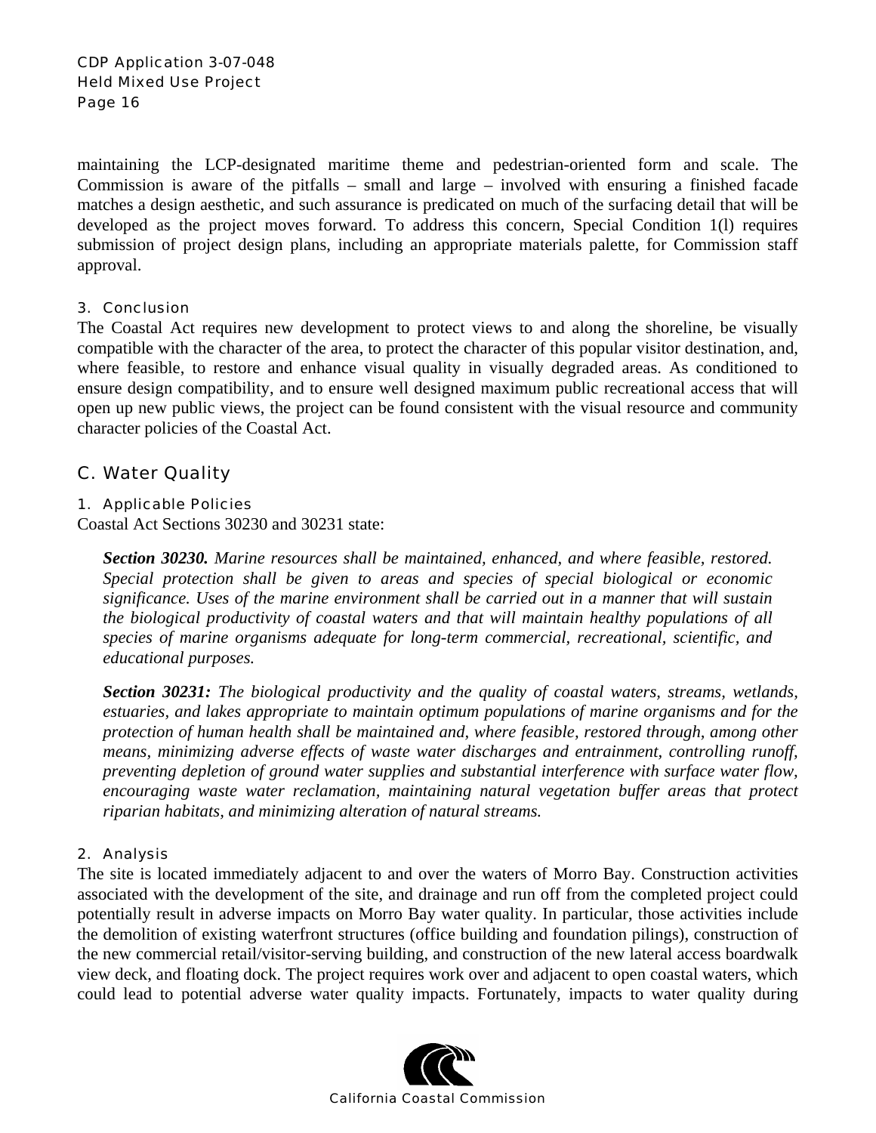maintaining the LCP-designated maritime theme and pedestrian-oriented form and scale. The Commission is aware of the pitfalls – small and large – involved with ensuring a finished facade matches a design aesthetic, and such assurance is predicated on much of the surfacing detail that will be developed as the project moves forward. To address this concern, Special Condition 1(l) requires submission of project design plans, including an appropriate materials palette, for Commission staff approval.

#### 3. Conclusion

The Coastal Act requires new development to protect views to and along the shoreline, be visually compatible with the character of the area, to protect the character of this popular visitor destination, and, where feasible, to restore and enhance visual quality in visually degraded areas. As conditioned to ensure design compatibility, and to ensure well designed maximum public recreational access that will open up new public views, the project can be found consistent with the visual resource and community character policies of the Coastal Act.

### C. Water Quality

### 1. Applicable Policies

Coastal Act Sections 30230 and 30231 state:

*Section 30230. Marine resources shall be maintained, enhanced, and where feasible, restored. Special protection shall be given to areas and species of special biological or economic significance. Uses of the marine environment shall be carried out in a manner that will sustain the biological productivity of coastal waters and that will maintain healthy populations of all species of marine organisms adequate for long-term commercial, recreational, scientific, and educational purposes.* 

*Section 30231: The biological productivity and the quality of coastal waters, streams, wetlands, estuaries, and lakes appropriate to maintain optimum populations of marine organisms and for the protection of human health shall be maintained and, where feasible, restored through, among other means, minimizing adverse effects of waste water discharges and entrainment, controlling runoff, preventing depletion of ground water supplies and substantial interference with surface water flow, encouraging waste water reclamation, maintaining natural vegetation buffer areas that protect riparian habitats, and minimizing alteration of natural streams.* 

#### 2. Analysis

The site is located immediately adjacent to and over the waters of Morro Bay. Construction activities associated with the development of the site, and drainage and run off from the completed project could potentially result in adverse impacts on Morro Bay water quality. In particular, those activities include the demolition of existing waterfront structures (office building and foundation pilings), construction of the new commercial retail/visitor-serving building, and construction of the new lateral access boardwalk view deck, and floating dock. The project requires work over and adjacent to open coastal waters, which could lead to potential adverse water quality impacts. Fortunately, impacts to water quality during

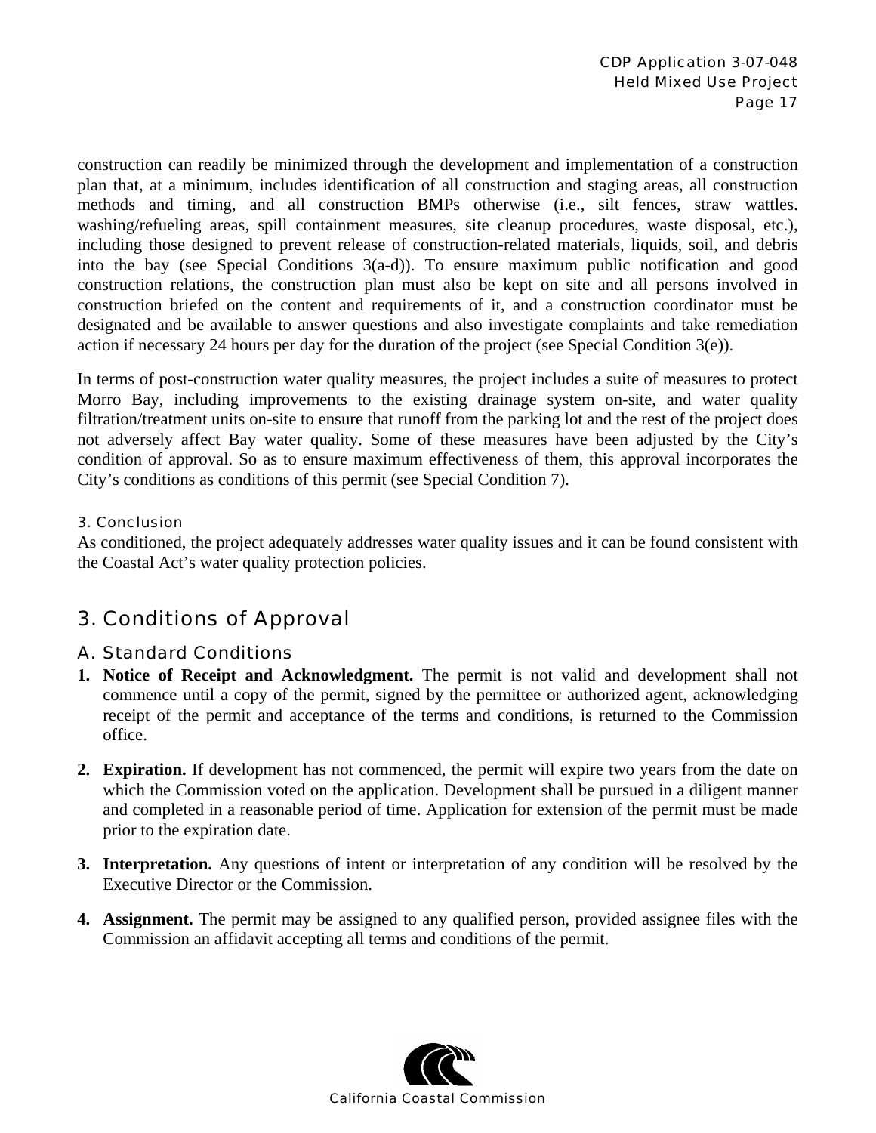construction can readily be minimized through the development and implementation of a construction plan that, at a minimum, includes identification of all construction and staging areas, all construction methods and timing, and all construction BMPs otherwise (i.e., silt fences, straw wattles. washing/refueling areas, spill containment measures, site cleanup procedures, waste disposal, etc.), including those designed to prevent release of construction-related materials, liquids, soil, and debris into the bay (see Special Conditions 3(a-d)). To ensure maximum public notification and good construction relations, the construction plan must also be kept on site and all persons involved in construction briefed on the content and requirements of it, and a construction coordinator must be designated and be available to answer questions and also investigate complaints and take remediation action if necessary 24 hours per day for the duration of the project (see Special Condition 3(e)).

In terms of post-construction water quality measures, the project includes a suite of measures to protect Morro Bay, including improvements to the existing drainage system on-site, and water quality filtration/treatment units on-site to ensure that runoff from the parking lot and the rest of the project does not adversely affect Bay water quality. Some of these measures have been adjusted by the City's condition of approval. So as to ensure maximum effectiveness of them, this approval incorporates the City's conditions as conditions of this permit (see Special Condition 7).

#### 3. Conclusion

As conditioned, the project adequately addresses water quality issues and it can be found consistent with the Coastal Act's water quality protection policies.

# 3. Conditions of Approval

### A. Standard Conditions

- **1. Notice of Receipt and Acknowledgment.** The permit is not valid and development shall not commence until a copy of the permit, signed by the permittee or authorized agent, acknowledging receipt of the permit and acceptance of the terms and conditions, is returned to the Commission office.
- **2. Expiration.** If development has not commenced, the permit will expire two years from the date on which the Commission voted on the application. Development shall be pursued in a diligent manner and completed in a reasonable period of time. Application for extension of the permit must be made prior to the expiration date.
- **3. Interpretation.** Any questions of intent or interpretation of any condition will be resolved by the Executive Director or the Commission.
- **4. Assignment.** The permit may be assigned to any qualified person, provided assignee files with the Commission an affidavit accepting all terms and conditions of the permit.

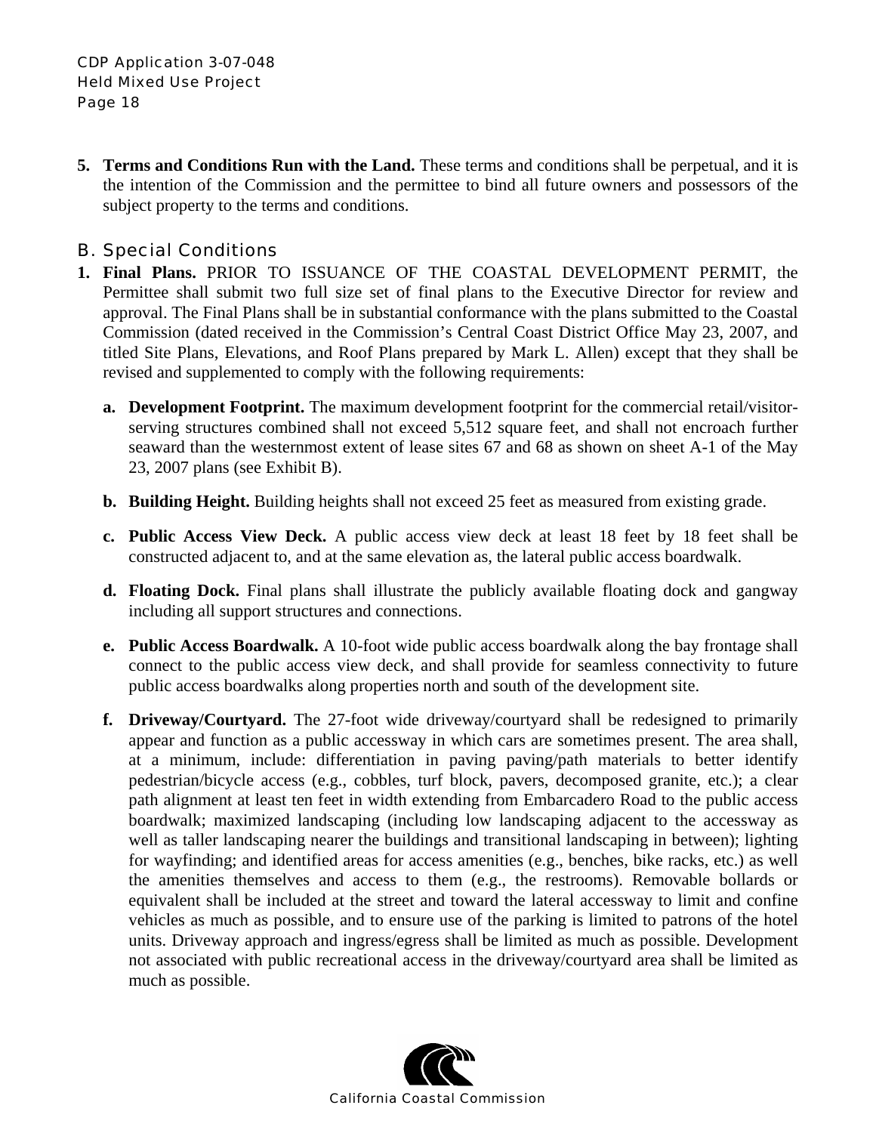**5. Terms and Conditions Run with the Land.** These terms and conditions shall be perpetual, and it is the intention of the Commission and the permittee to bind all future owners and possessors of the subject property to the terms and conditions.

## B. Special Conditions

- **1. Final Plans.** PRIOR TO ISSUANCE OF THE COASTAL DEVELOPMENT PERMIT, the Permittee shall submit two full size set of final plans to the Executive Director for review and approval. The Final Plans shall be in substantial conformance with the plans submitted to the Coastal Commission (dated received in the Commission's Central Coast District Office May 23, 2007, and titled Site Plans, Elevations, and Roof Plans prepared by Mark L. Allen) except that they shall be revised and supplemented to comply with the following requirements:
	- **a. Development Footprint.** The maximum development footprint for the commercial retail/visitorserving structures combined shall not exceed 5,512 square feet, and shall not encroach further seaward than the westernmost extent of lease sites 67 and 68 as shown on sheet A-1 of the May 23, 2007 plans (see Exhibit B).
	- **b. Building Height.** Building heights shall not exceed 25 feet as measured from existing grade.
	- **c. Public Access View Deck.** A public access view deck at least 18 feet by 18 feet shall be constructed adjacent to, and at the same elevation as, the lateral public access boardwalk.
	- **d. Floating Dock.** Final plans shall illustrate the publicly available floating dock and gangway including all support structures and connections.
	- **e. Public Access Boardwalk.** A 10-foot wide public access boardwalk along the bay frontage shall connect to the public access view deck, and shall provide for seamless connectivity to future public access boardwalks along properties north and south of the development site.
	- **f. Driveway/Courtyard.** The 27-foot wide driveway/courtyard shall be redesigned to primarily appear and function as a public accessway in which cars are sometimes present. The area shall, at a minimum, include: differentiation in paving paving/path materials to better identify pedestrian/bicycle access (e.g., cobbles, turf block, pavers, decomposed granite, etc.); a clear path alignment at least ten feet in width extending from Embarcadero Road to the public access boardwalk; maximized landscaping (including low landscaping adjacent to the accessway as well as taller landscaping nearer the buildings and transitional landscaping in between); lighting for wayfinding; and identified areas for access amenities (e.g., benches, bike racks, etc.) as well the amenities themselves and access to them (e.g., the restrooms). Removable bollards or equivalent shall be included at the street and toward the lateral accessway to limit and confine vehicles as much as possible, and to ensure use of the parking is limited to patrons of the hotel units. Driveway approach and ingress/egress shall be limited as much as possible. Development not associated with public recreational access in the driveway/courtyard area shall be limited as much as possible.

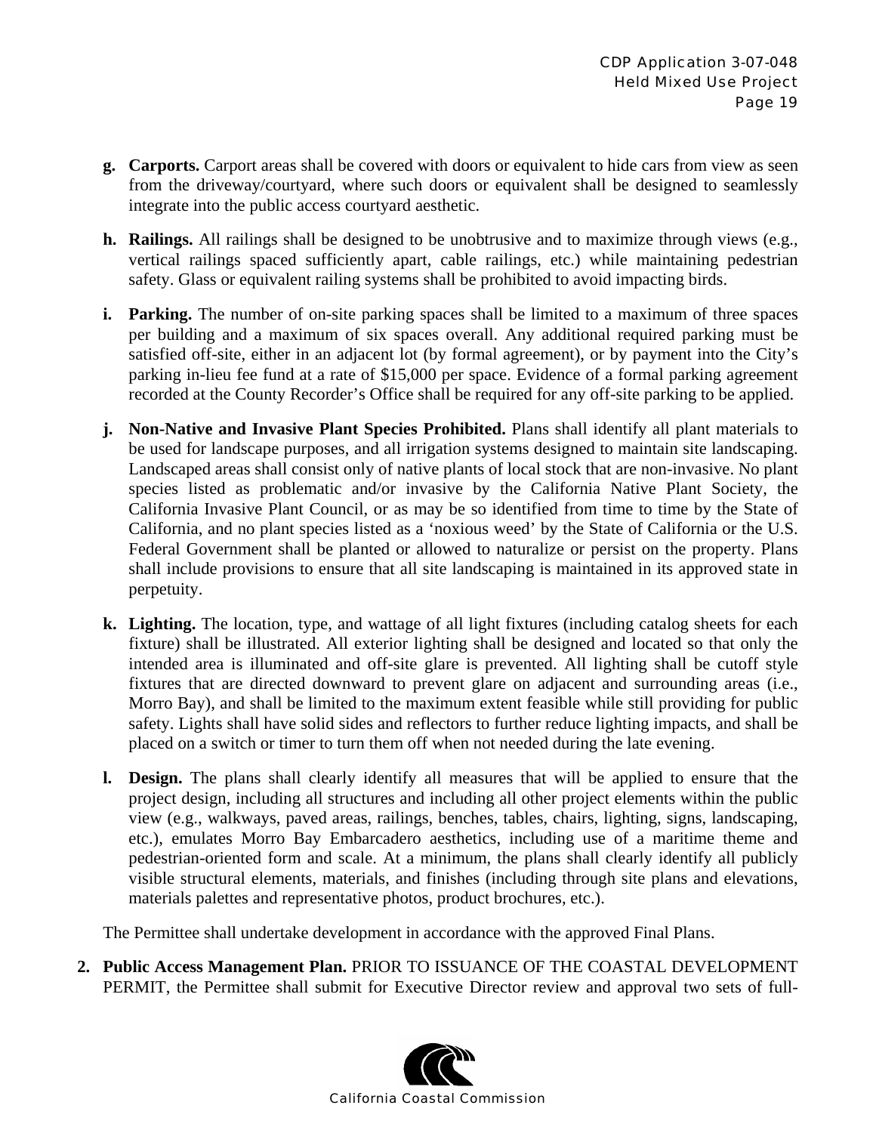- **g. Carports.** Carport areas shall be covered with doors or equivalent to hide cars from view as seen from the driveway/courtyard, where such doors or equivalent shall be designed to seamlessly integrate into the public access courtyard aesthetic.
- **h. Railings.** All railings shall be designed to be unobtrusive and to maximize through views (e.g., vertical railings spaced sufficiently apart, cable railings, etc.) while maintaining pedestrian safety. Glass or equivalent railing systems shall be prohibited to avoid impacting birds.
- **i. Parking.** The number of on-site parking spaces shall be limited to a maximum of three spaces per building and a maximum of six spaces overall. Any additional required parking must be satisfied off-site, either in an adjacent lot (by formal agreement), or by payment into the City's parking in-lieu fee fund at a rate of \$15,000 per space. Evidence of a formal parking agreement recorded at the County Recorder's Office shall be required for any off-site parking to be applied.
- **j. Non-Native and Invasive Plant Species Prohibited.** Plans shall identify all plant materials to be used for landscape purposes, and all irrigation systems designed to maintain site landscaping. Landscaped areas shall consist only of native plants of local stock that are non-invasive. No plant species listed as problematic and/or invasive by the California Native Plant Society, the California Invasive Plant Council, or as may be so identified from time to time by the State of California, and no plant species listed as a 'noxious weed' by the State of California or the U.S. Federal Government shall be planted or allowed to naturalize or persist on the property. Plans shall include provisions to ensure that all site landscaping is maintained in its approved state in perpetuity.
- **k. Lighting.** The location, type, and wattage of all light fixtures (including catalog sheets for each fixture) shall be illustrated. All exterior lighting shall be designed and located so that only the intended area is illuminated and off-site glare is prevented. All lighting shall be cutoff style fixtures that are directed downward to prevent glare on adjacent and surrounding areas (i.e., Morro Bay), and shall be limited to the maximum extent feasible while still providing for public safety. Lights shall have solid sides and reflectors to further reduce lighting impacts, and shall be placed on a switch or timer to turn them off when not needed during the late evening.
- **l. Design.** The plans shall clearly identify all measures that will be applied to ensure that the project design, including all structures and including all other project elements within the public view (e.g., walkways, paved areas, railings, benches, tables, chairs, lighting, signs, landscaping, etc.), emulates Morro Bay Embarcadero aesthetics, including use of a maritime theme and pedestrian-oriented form and scale. At a minimum, the plans shall clearly identify all publicly visible structural elements, materials, and finishes (including through site plans and elevations, materials palettes and representative photos, product brochures, etc.).

The Permittee shall undertake development in accordance with the approved Final Plans.

**2. Public Access Management Plan.** PRIOR TO ISSUANCE OF THE COASTAL DEVELOPMENT PERMIT, the Permittee shall submit for Executive Director review and approval two sets of full-

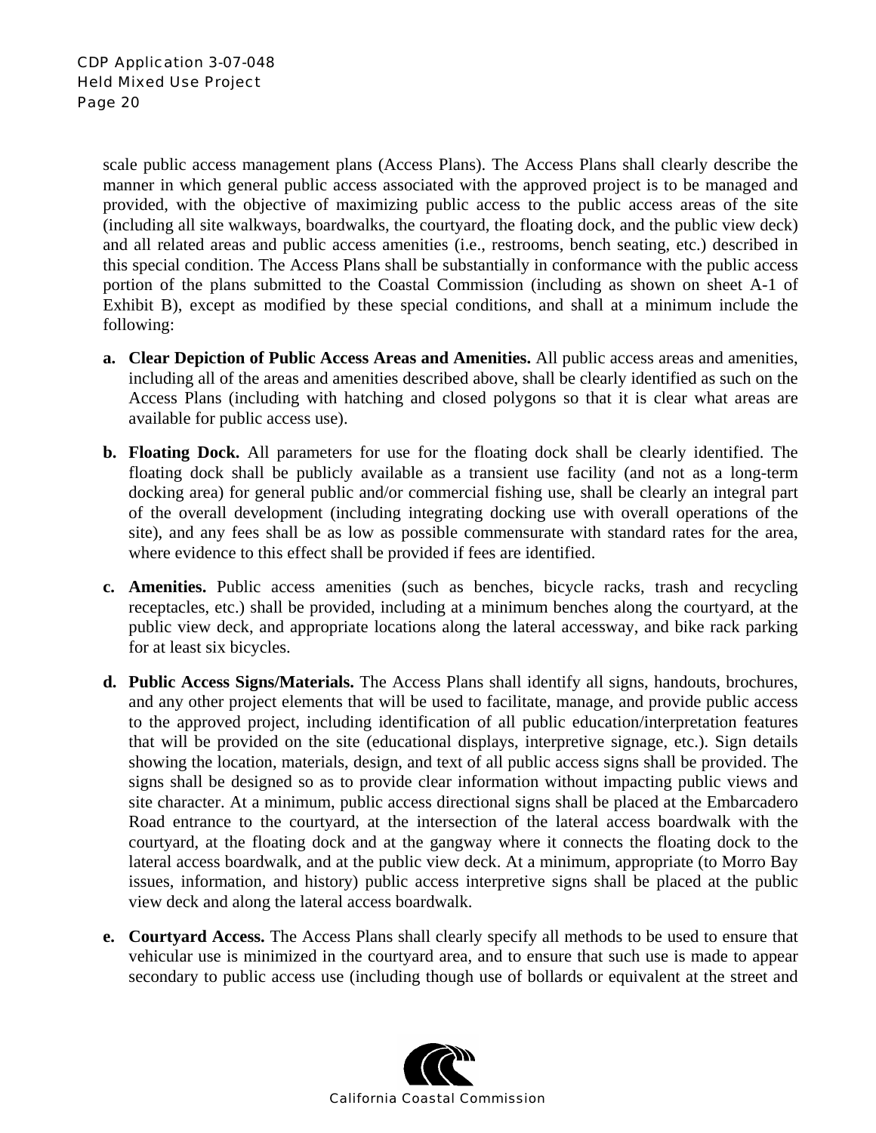scale public access management plans (Access Plans). The Access Plans shall clearly describe the manner in which general public access associated with the approved project is to be managed and provided, with the objective of maximizing public access to the public access areas of the site (including all site walkways, boardwalks, the courtyard, the floating dock, and the public view deck) and all related areas and public access amenities (i.e., restrooms, bench seating, etc.) described in this special condition. The Access Plans shall be substantially in conformance with the public access portion of the plans submitted to the Coastal Commission (including as shown on sheet A-1 of Exhibit B), except as modified by these special conditions, and shall at a minimum include the following:

- **a. Clear Depiction of Public Access Areas and Amenities.** All public access areas and amenities, including all of the areas and amenities described above, shall be clearly identified as such on the Access Plans (including with hatching and closed polygons so that it is clear what areas are available for public access use).
- **b. Floating Dock.** All parameters for use for the floating dock shall be clearly identified. The floating dock shall be publicly available as a transient use facility (and not as a long-term docking area) for general public and/or commercial fishing use, shall be clearly an integral part of the overall development (including integrating docking use with overall operations of the site), and any fees shall be as low as possible commensurate with standard rates for the area, where evidence to this effect shall be provided if fees are identified.
- **c. Amenities.** Public access amenities (such as benches, bicycle racks, trash and recycling receptacles, etc.) shall be provided, including at a minimum benches along the courtyard, at the public view deck, and appropriate locations along the lateral accessway, and bike rack parking for at least six bicycles.
- **d. Public Access Signs/Materials.** The Access Plans shall identify all signs, handouts, brochures, and any other project elements that will be used to facilitate, manage, and provide public access to the approved project, including identification of all public education/interpretation features that will be provided on the site (educational displays, interpretive signage, etc.). Sign details showing the location, materials, design, and text of all public access signs shall be provided. The signs shall be designed so as to provide clear information without impacting public views and site character. At a minimum, public access directional signs shall be placed at the Embarcadero Road entrance to the courtyard, at the intersection of the lateral access boardwalk with the courtyard, at the floating dock and at the gangway where it connects the floating dock to the lateral access boardwalk, and at the public view deck. At a minimum, appropriate (to Morro Bay issues, information, and history) public access interpretive signs shall be placed at the public view deck and along the lateral access boardwalk.
- **e. Courtyard Access.** The Access Plans shall clearly specify all methods to be used to ensure that vehicular use is minimized in the courtyard area, and to ensure that such use is made to appear secondary to public access use (including though use of bollards or equivalent at the street and

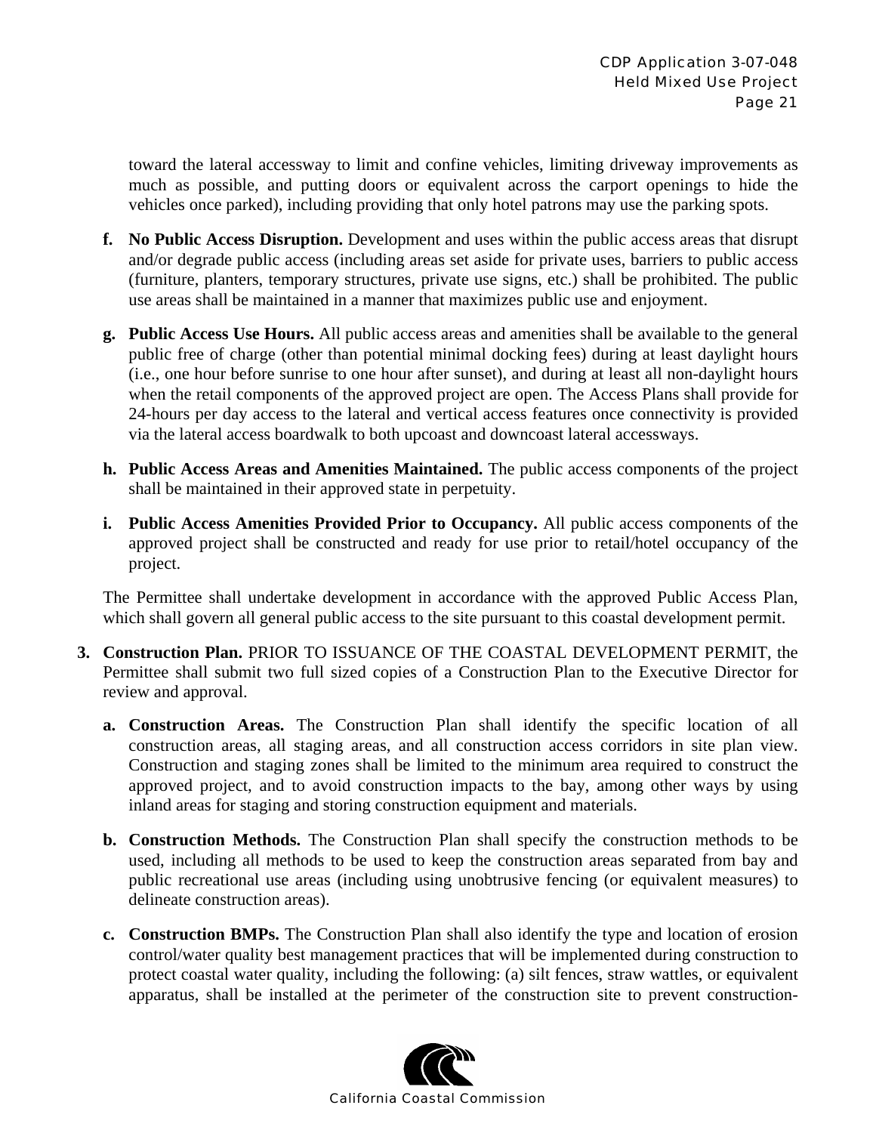toward the lateral accessway to limit and confine vehicles, limiting driveway improvements as much as possible, and putting doors or equivalent across the carport openings to hide the vehicles once parked), including providing that only hotel patrons may use the parking spots.

- **f. No Public Access Disruption.** Development and uses within the public access areas that disrupt and/or degrade public access (including areas set aside for private uses, barriers to public access (furniture, planters, temporary structures, private use signs, etc.) shall be prohibited. The public use areas shall be maintained in a manner that maximizes public use and enjoyment.
- **g. Public Access Use Hours.** All public access areas and amenities shall be available to the general public free of charge (other than potential minimal docking fees) during at least daylight hours (i.e., one hour before sunrise to one hour after sunset), and during at least all non-daylight hours when the retail components of the approved project are open. The Access Plans shall provide for 24-hours per day access to the lateral and vertical access features once connectivity is provided via the lateral access boardwalk to both upcoast and downcoast lateral accessways.
- **h. Public Access Areas and Amenities Maintained.** The public access components of the project shall be maintained in their approved state in perpetuity.
- **i. Public Access Amenities Provided Prior to Occupancy.** All public access components of the approved project shall be constructed and ready for use prior to retail/hotel occupancy of the project.

The Permittee shall undertake development in accordance with the approved Public Access Plan, which shall govern all general public access to the site pursuant to this coastal development permit.

- **3. Construction Plan.** PRIOR TO ISSUANCE OF THE COASTAL DEVELOPMENT PERMIT, the Permittee shall submit two full sized copies of a Construction Plan to the Executive Director for review and approval.
	- **a. Construction Areas.** The Construction Plan shall identify the specific location of all construction areas, all staging areas, and all construction access corridors in site plan view. Construction and staging zones shall be limited to the minimum area required to construct the approved project, and to avoid construction impacts to the bay, among other ways by using inland areas for staging and storing construction equipment and materials.
	- **b. Construction Methods.** The Construction Plan shall specify the construction methods to be used, including all methods to be used to keep the construction areas separated from bay and public recreational use areas (including using unobtrusive fencing (or equivalent measures) to delineate construction areas).
	- **c. Construction BMPs.** The Construction Plan shall also identify the type and location of erosion control/water quality best management practices that will be implemented during construction to protect coastal water quality, including the following: (a) silt fences, straw wattles, or equivalent apparatus, shall be installed at the perimeter of the construction site to prevent construction-

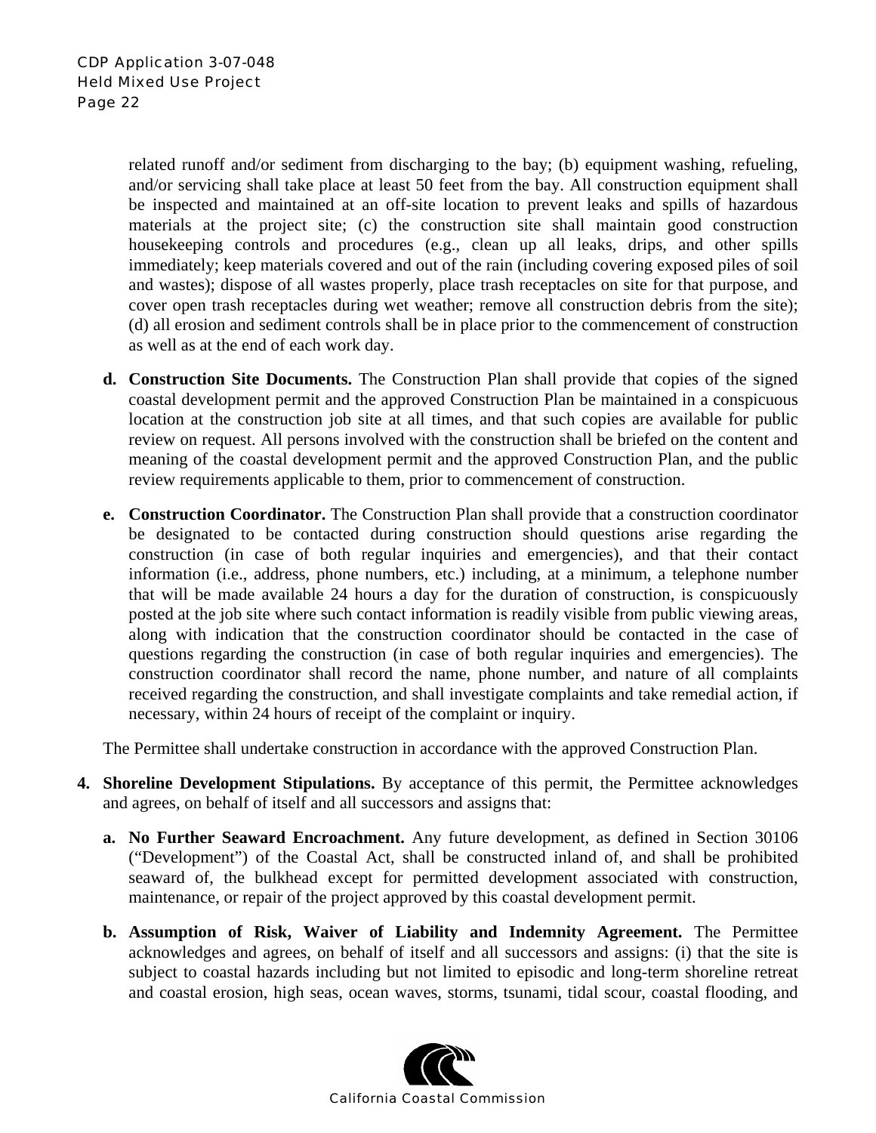related runoff and/or sediment from discharging to the bay; (b) equipment washing, refueling, and/or servicing shall take place at least 50 feet from the bay. All construction equipment shall be inspected and maintained at an off-site location to prevent leaks and spills of hazardous materials at the project site; (c) the construction site shall maintain good construction housekeeping controls and procedures (e.g., clean up all leaks, drips, and other spills immediately; keep materials covered and out of the rain (including covering exposed piles of soil and wastes); dispose of all wastes properly, place trash receptacles on site for that purpose, and cover open trash receptacles during wet weather; remove all construction debris from the site); (d) all erosion and sediment controls shall be in place prior to the commencement of construction as well as at the end of each work day.

- **d. Construction Site Documents.** The Construction Plan shall provide that copies of the signed coastal development permit and the approved Construction Plan be maintained in a conspicuous location at the construction job site at all times, and that such copies are available for public review on request. All persons involved with the construction shall be briefed on the content and meaning of the coastal development permit and the approved Construction Plan, and the public review requirements applicable to them, prior to commencement of construction.
- **e. Construction Coordinator.** The Construction Plan shall provide that a construction coordinator be designated to be contacted during construction should questions arise regarding the construction (in case of both regular inquiries and emergencies), and that their contact information (i.e., address, phone numbers, etc.) including, at a minimum, a telephone number that will be made available 24 hours a day for the duration of construction, is conspicuously posted at the job site where such contact information is readily visible from public viewing areas, along with indication that the construction coordinator should be contacted in the case of questions regarding the construction (in case of both regular inquiries and emergencies). The construction coordinator shall record the name, phone number, and nature of all complaints received regarding the construction, and shall investigate complaints and take remedial action, if necessary, within 24 hours of receipt of the complaint or inquiry.

The Permittee shall undertake construction in accordance with the approved Construction Plan.

- **4. Shoreline Development Stipulations.** By acceptance of this permit, the Permittee acknowledges and agrees, on behalf of itself and all successors and assigns that:
	- **a. No Further Seaward Encroachment.** Any future development, as defined in Section 30106 ("Development") of the Coastal Act, shall be constructed inland of, and shall be prohibited seaward of, the bulkhead except for permitted development associated with construction, maintenance, or repair of the project approved by this coastal development permit.
	- **b. Assumption of Risk, Waiver of Liability and Indemnity Agreement.** The Permittee acknowledges and agrees, on behalf of itself and all successors and assigns: (i) that the site is subject to coastal hazards including but not limited to episodic and long-term shoreline retreat and coastal erosion, high seas, ocean waves, storms, tsunami, tidal scour, coastal flooding, and

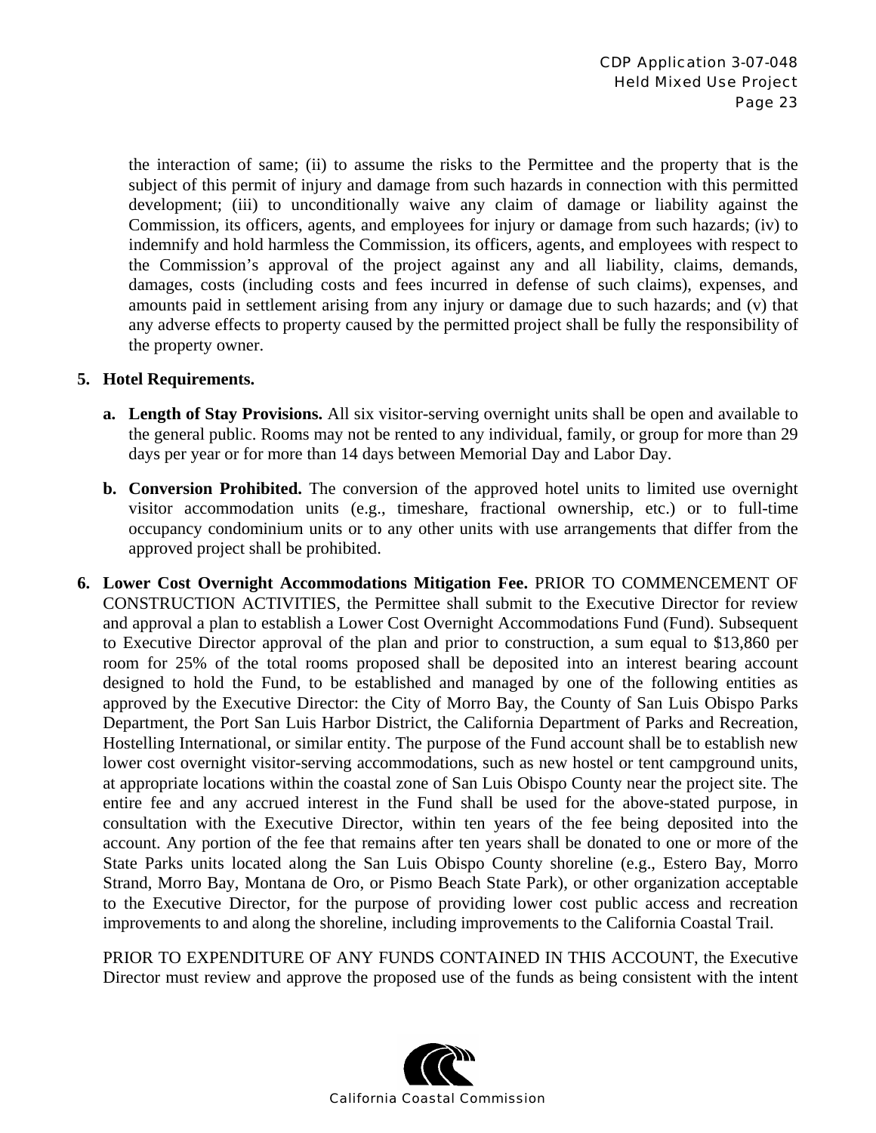the interaction of same; (ii) to assume the risks to the Permittee and the property that is the subject of this permit of injury and damage from such hazards in connection with this permitted development; (iii) to unconditionally waive any claim of damage or liability against the Commission, its officers, agents, and employees for injury or damage from such hazards; (iv) to indemnify and hold harmless the Commission, its officers, agents, and employees with respect to the Commission's approval of the project against any and all liability, claims, demands, damages, costs (including costs and fees incurred in defense of such claims), expenses, and amounts paid in settlement arising from any injury or damage due to such hazards; and (v) that any adverse effects to property caused by the permitted project shall be fully the responsibility of the property owner.

#### **5. Hotel Requirements.**

- **a. Length of Stay Provisions.** All six visitor-serving overnight units shall be open and available to the general public. Rooms may not be rented to any individual, family, or group for more than 29 days per year or for more than 14 days between Memorial Day and Labor Day.
- **b. Conversion Prohibited.** The conversion of the approved hotel units to limited use overnight visitor accommodation units (e.g., timeshare, fractional ownership, etc.) or to full-time occupancy condominium units or to any other units with use arrangements that differ from the approved project shall be prohibited.
- **6. Lower Cost Overnight Accommodations Mitigation Fee.** PRIOR TO COMMENCEMENT OF CONSTRUCTION ACTIVITIES, the Permittee shall submit to the Executive Director for review and approval a plan to establish a Lower Cost Overnight Accommodations Fund (Fund). Subsequent to Executive Director approval of the plan and prior to construction, a sum equal to \$13,860 per room for 25% of the total rooms proposed shall be deposited into an interest bearing account designed to hold the Fund, to be established and managed by one of the following entities as approved by the Executive Director: the City of Morro Bay, the County of San Luis Obispo Parks Department, the Port San Luis Harbor District, the California Department of Parks and Recreation, Hostelling International, or similar entity. The purpose of the Fund account shall be to establish new lower cost overnight visitor-serving accommodations, such as new hostel or tent campground units, at appropriate locations within the coastal zone of San Luis Obispo County near the project site. The entire fee and any accrued interest in the Fund shall be used for the above-stated purpose, in consultation with the Executive Director, within ten years of the fee being deposited into the account. Any portion of the fee that remains after ten years shall be donated to one or more of the State Parks units located along the San Luis Obispo County shoreline (e.g., Estero Bay, Morro Strand, Morro Bay, Montana de Oro, or Pismo Beach State Park), or other organization acceptable to the Executive Director, for the purpose of providing lower cost public access and recreation improvements to and along the shoreline, including improvements to the California Coastal Trail.

PRIOR TO EXPENDITURE OF ANY FUNDS CONTAINED IN THIS ACCOUNT, the Executive Director must review and approve the proposed use of the funds as being consistent with the intent

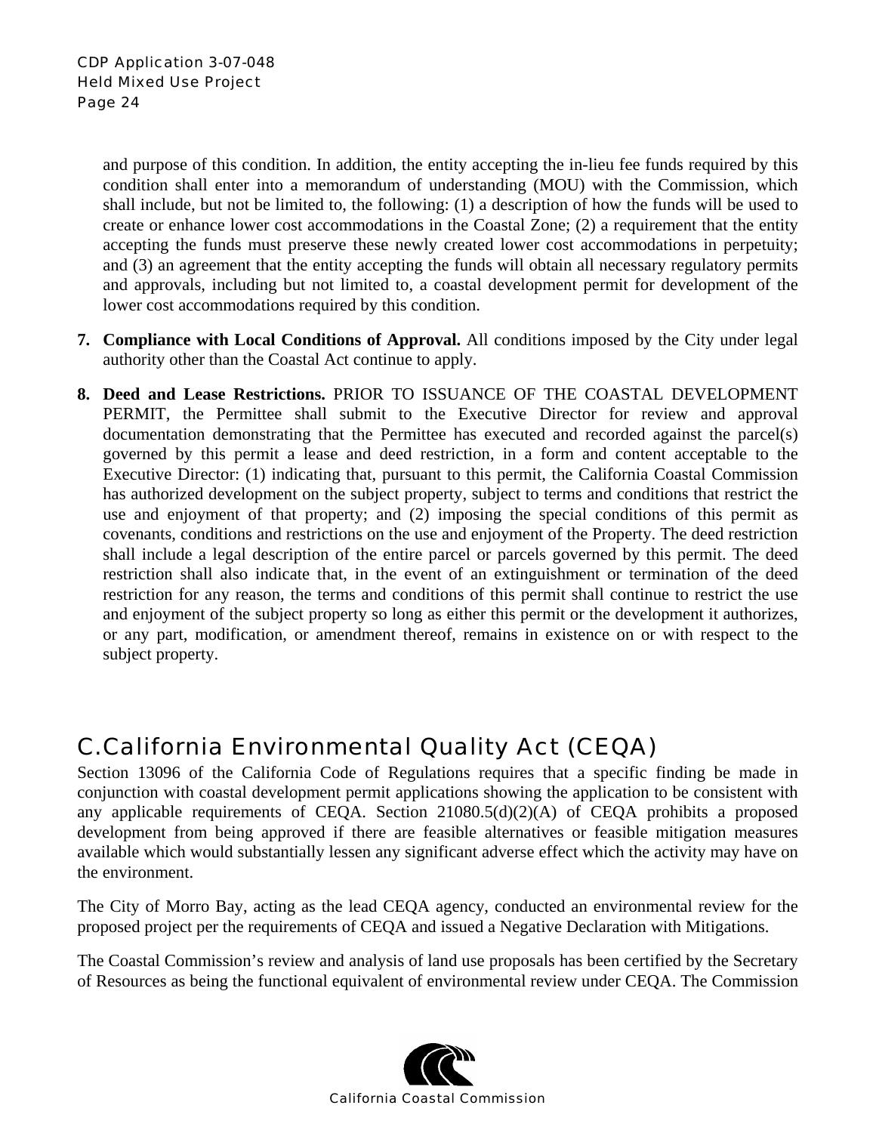and purpose of this condition. In addition, the entity accepting the in-lieu fee funds required by this condition shall enter into a memorandum of understanding (MOU) with the Commission, which shall include, but not be limited to, the following: (1) a description of how the funds will be used to create or enhance lower cost accommodations in the Coastal Zone; (2) a requirement that the entity accepting the funds must preserve these newly created lower cost accommodations in perpetuity; and (3) an agreement that the entity accepting the funds will obtain all necessary regulatory permits and approvals, including but not limited to, a coastal development permit for development of the lower cost accommodations required by this condition.

- **7. Compliance with Local Conditions of Approval.** All conditions imposed by the City under legal authority other than the Coastal Act continue to apply.
- **8. Deed and Lease Restrictions.** PRIOR TO ISSUANCE OF THE COASTAL DEVELOPMENT PERMIT, the Permittee shall submit to the Executive Director for review and approval documentation demonstrating that the Permittee has executed and recorded against the parcel(s) governed by this permit a lease and deed restriction, in a form and content acceptable to the Executive Director: (1) indicating that, pursuant to this permit, the California Coastal Commission has authorized development on the subject property, subject to terms and conditions that restrict the use and enjoyment of that property; and (2) imposing the special conditions of this permit as covenants, conditions and restrictions on the use and enjoyment of the Property. The deed restriction shall include a legal description of the entire parcel or parcels governed by this permit. The deed restriction shall also indicate that, in the event of an extinguishment or termination of the deed restriction for any reason, the terms and conditions of this permit shall continue to restrict the use and enjoyment of the subject property so long as either this permit or the development it authorizes, or any part, modification, or amendment thereof, remains in existence on or with respect to the subject property.

# C. California Environmental Quality Act (CEQA)

Section 13096 of the California Code of Regulations requires that a specific finding be made in conjunction with coastal development permit applications showing the application to be consistent with any applicable requirements of CEQA. Section 21080.5(d)(2)(A) of CEQA prohibits a proposed development from being approved if there are feasible alternatives or feasible mitigation measures available which would substantially lessen any significant adverse effect which the activity may have on the environment.

The City of Morro Bay, acting as the lead CEQA agency, conducted an environmental review for the proposed project per the requirements of CEQA and issued a Negative Declaration with Mitigations.

The Coastal Commission's review and analysis of land use proposals has been certified by the Secretary of Resources as being the functional equivalent of environmental review under CEQA. The Commission